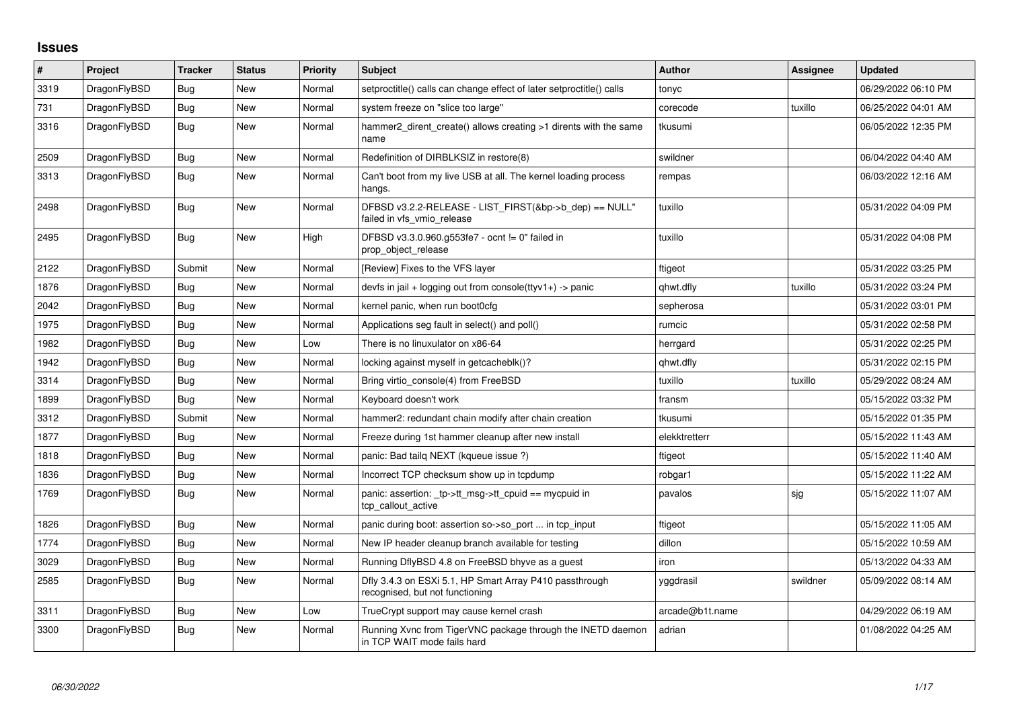## **Issues**

| $\vert$ # | Project      | Tracker    | <b>Status</b> | <b>Priority</b> | <b>Subject</b>                                                                             | <b>Author</b>   | Assignee | <b>Updated</b>      |
|-----------|--------------|------------|---------------|-----------------|--------------------------------------------------------------------------------------------|-----------------|----------|---------------------|
| 3319      | DragonFlyBSD | Bug        | <b>New</b>    | Normal          | setproctitle() calls can change effect of later setproctitle() calls                       | tonyc           |          | 06/29/2022 06:10 PM |
| 731       | DragonFlyBSD | Bug        | New           | Normal          | system freeze on "slice too large"                                                         | corecode        | tuxillo  | 06/25/2022 04:01 AM |
| 3316      | DragonFlyBSD | Bug        | New           | Normal          | hammer2_dirent_create() allows creating >1 dirents with the same<br>name                   | tkusumi         |          | 06/05/2022 12:35 PM |
| 2509      | DragonFlyBSD | Bug        | New           | Normal          | Redefinition of DIRBLKSIZ in restore(8)                                                    | swildner        |          | 06/04/2022 04:40 AM |
| 3313      | DragonFlyBSD | Bug        | New           | Normal          | Can't boot from my live USB at all. The kernel loading process<br>hangs.                   | rempas          |          | 06/03/2022 12:16 AM |
| 2498      | DragonFlyBSD | <b>Bug</b> | <b>New</b>    | Normal          | DFBSD v3.2.2-RELEASE - LIST_FIRST(&bp->b_dep) == NULL"<br>failed in vfs_vmio_release       | tuxillo         |          | 05/31/2022 04:09 PM |
| 2495      | DragonFlyBSD | Bug        | New           | High            | DFBSD v3.3.0.960.g553fe7 - ocnt != 0" failed in<br>prop_object_release                     | tuxillo         |          | 05/31/2022 04:08 PM |
| 2122      | DragonFlyBSD | Submit     | New           | Normal          | [Review] Fixes to the VFS layer                                                            | ftigeot         |          | 05/31/2022 03:25 PM |
| 1876      | DragonFlyBSD | Bug        | New           | Normal          | devfs in jail + logging out from console(ttyv1+) -> panic                                  | qhwt.dfly       | tuxillo  | 05/31/2022 03:24 PM |
| 2042      | DragonFlyBSD | Bug        | New           | Normal          | kernel panic, when run boot0cfg                                                            | sepherosa       |          | 05/31/2022 03:01 PM |
| 1975      | DragonFlyBSD | Bug        | New           | Normal          | Applications seg fault in select() and poll()                                              | rumcic          |          | 05/31/2022 02:58 PM |
| 1982      | DragonFlyBSD | Bug        | New           | Low             | There is no linuxulator on x86-64                                                          | herrgard        |          | 05/31/2022 02:25 PM |
| 1942      | DragonFlyBSD | Bug        | New           | Normal          | locking against myself in getcacheblk()?                                                   | qhwt.dfly       |          | 05/31/2022 02:15 PM |
| 3314      | DragonFlyBSD | Bug        | <b>New</b>    | Normal          | Bring virtio console(4) from FreeBSD                                                       | tuxillo         | tuxillo  | 05/29/2022 08:24 AM |
| 1899      | DragonFlyBSD | Bug        | New           | Normal          | Keyboard doesn't work                                                                      | fransm          |          | 05/15/2022 03:32 PM |
| 3312      | DragonFlyBSD | Submit     | New           | Normal          | hammer2: redundant chain modify after chain creation                                       | tkusumi         |          | 05/15/2022 01:35 PM |
| 1877      | DragonFlyBSD | Bug        | <b>New</b>    | Normal          | Freeze during 1st hammer cleanup after new install                                         | elekktretterr   |          | 05/15/2022 11:43 AM |
| 1818      | DragonFlyBSD | Bug        | New           | Normal          | panic: Bad tailg NEXT (kqueue issue ?)                                                     | ftigeot         |          | 05/15/2022 11:40 AM |
| 1836      | DragonFlyBSD | <b>Bug</b> | New           | Normal          | Incorrect TCP checksum show up in tcpdump                                                  | robgar1         |          | 05/15/2022 11:22 AM |
| 1769      | DragonFlyBSD | Bug        | New           | Normal          | panic: assertion: _tp->tt_msg->tt_cpuid == mycpuid in<br>tcp callout active                | pavalos         | sjg      | 05/15/2022 11:07 AM |
| 1826      | DragonFlyBSD | <b>Bug</b> | <b>New</b>    | Normal          | panic during boot: assertion so->so_port  in tcp_input                                     | ftigeot         |          | 05/15/2022 11:05 AM |
| 1774      | DragonFlyBSD | Bug        | New           | Normal          | New IP header cleanup branch available for testing                                         | dillon          |          | 05/15/2022 10:59 AM |
| 3029      | DragonFlyBSD | Bug        | New           | Normal          | Running DflyBSD 4.8 on FreeBSD bhyve as a guest                                            | iron            |          | 05/13/2022 04:33 AM |
| 2585      | DragonFlyBSD | Bug        | New           | Normal          | Dfly 3.4.3 on ESXi 5.1, HP Smart Array P410 passthrough<br>recognised, but not functioning | yggdrasil       | swildner | 05/09/2022 08:14 AM |
| 3311      | DragonFlyBSD | <b>Bug</b> | New           | Low             | TrueCrypt support may cause kernel crash                                                   | arcade@b1t.name |          | 04/29/2022 06:19 AM |
| 3300      | DragonFlyBSD | Bug        | New           | Normal          | Running Xvnc from TigerVNC package through the INETD daemon<br>in TCP WAIT mode fails hard | adrian          |          | 01/08/2022 04:25 AM |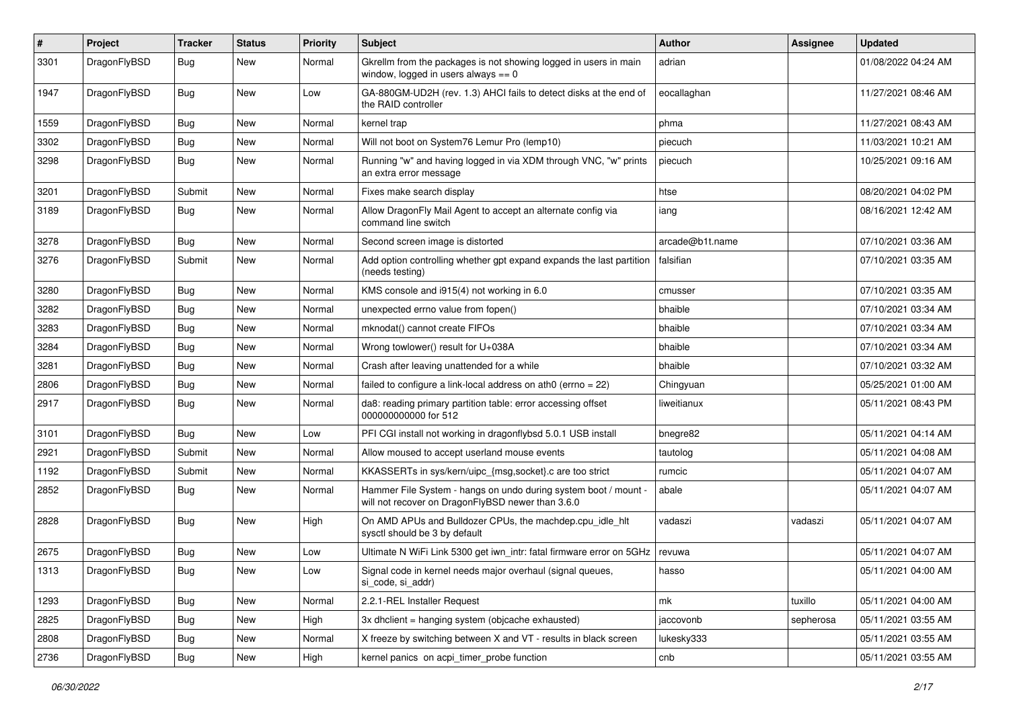| $\#$ | Project      | <b>Tracker</b> | <b>Status</b> | <b>Priority</b> | Subject                                                                                                              | <b>Author</b>   | <b>Assignee</b> | <b>Updated</b>      |
|------|--------------|----------------|---------------|-----------------|----------------------------------------------------------------------------------------------------------------------|-----------------|-----------------|---------------------|
| 3301 | DragonFlyBSD | Bug            | <b>New</b>    | Normal          | Gkrellm from the packages is not showing logged in users in main<br>window, logged in users always $== 0$            | adrian          |                 | 01/08/2022 04:24 AM |
| 1947 | DragonFlyBSD | Bug            | <b>New</b>    | Low             | GA-880GM-UD2H (rev. 1.3) AHCI fails to detect disks at the end of<br>the RAID controller                             | eocallaghan     |                 | 11/27/2021 08:46 AM |
| 1559 | DragonFlyBSD | Bug            | <b>New</b>    | Normal          | kernel trap                                                                                                          | phma            |                 | 11/27/2021 08:43 AM |
| 3302 | DragonFlyBSD | <b>Bug</b>     | New           | Normal          | Will not boot on System76 Lemur Pro (lemp10)                                                                         | piecuch         |                 | 11/03/2021 10:21 AM |
| 3298 | DragonFlyBSD | Bug            | <b>New</b>    | Normal          | Running "w" and having logged in via XDM through VNC, "w" prints<br>an extra error message                           | piecuch         |                 | 10/25/2021 09:16 AM |
| 3201 | DragonFlyBSD | Submit         | <b>New</b>    | Normal          | Fixes make search display                                                                                            | htse            |                 | 08/20/2021 04:02 PM |
| 3189 | DragonFlyBSD | Bug            | New           | Normal          | Allow DragonFly Mail Agent to accept an alternate config via<br>command line switch                                  | iang            |                 | 08/16/2021 12:42 AM |
| 3278 | DragonFlyBSD | Bug            | <b>New</b>    | Normal          | Second screen image is distorted                                                                                     | arcade@b1t.name |                 | 07/10/2021 03:36 AM |
| 3276 | DragonFlyBSD | Submit         | <b>New</b>    | Normal          | Add option controlling whether gpt expand expands the last partition<br>(needs testing)                              | falsifian       |                 | 07/10/2021 03:35 AM |
| 3280 | DragonFlyBSD | Bug            | <b>New</b>    | Normal          | KMS console and i915(4) not working in 6.0                                                                           | cmusser         |                 | 07/10/2021 03:35 AM |
| 3282 | DragonFlyBSD | <b>Bug</b>     | <b>New</b>    | Normal          | unexpected errno value from fopen()                                                                                  | bhaible         |                 | 07/10/2021 03:34 AM |
| 3283 | DragonFlyBSD | <b>Bug</b>     | New           | Normal          | mknodat() cannot create FIFOs                                                                                        | bhaible         |                 | 07/10/2021 03:34 AM |
| 3284 | DragonFlyBSD | <b>Bug</b>     | <b>New</b>    | Normal          | Wrong towlower() result for U+038A                                                                                   | bhaible         |                 | 07/10/2021 03:34 AM |
| 3281 | DragonFlyBSD | <b>Bug</b>     | <b>New</b>    | Normal          | Crash after leaving unattended for a while                                                                           | bhaible         |                 | 07/10/2021 03:32 AM |
| 2806 | DragonFlyBSD | <b>Bug</b>     | New           | Normal          | failed to configure a link-local address on ath $0$ (errno = 22)                                                     | Chingyuan       |                 | 05/25/2021 01:00 AM |
| 2917 | DragonFlyBSD | Bug            | <b>New</b>    | Normal          | da8: reading primary partition table: error accessing offset<br>000000000000 for 512                                 | liweitianux     |                 | 05/11/2021 08:43 PM |
| 3101 | DragonFlyBSD | Bug            | <b>New</b>    | Low             | PFI CGI install not working in dragonflybsd 5.0.1 USB install                                                        | bnegre82        |                 | 05/11/2021 04:14 AM |
| 2921 | DragonFlyBSD | Submit         | <b>New</b>    | Normal          | Allow moused to accept userland mouse events                                                                         | tautolog        |                 | 05/11/2021 04:08 AM |
| 1192 | DragonFlyBSD | Submit         | New           | Normal          | KKASSERTs in sys/kern/uipc_{msg,socket}.c are too strict                                                             | rumcic          |                 | 05/11/2021 04:07 AM |
| 2852 | DragonFlyBSD | Bug            | <b>New</b>    | Normal          | Hammer File System - hangs on undo during system boot / mount -<br>will not recover on DragonFlyBSD newer than 3.6.0 | abale           |                 | 05/11/2021 04:07 AM |
| 2828 | DragonFlyBSD | Bug            | New           | High            | On AMD APUs and Bulldozer CPUs, the machdep.cpu_idle_hlt<br>sysctl should be 3 by default                            | vadaszi         | vadaszi         | 05/11/2021 04:07 AM |
| 2675 | DragonFlyBSD | <b>Bug</b>     | New           | Low             | Ultimate N WiFi Link 5300 get iwn_intr: fatal firmware error on 5GHz                                                 | revuwa          |                 | 05/11/2021 04:07 AM |
| 1313 | DragonFlyBSD | <b>Bug</b>     | New           | Low             | Signal code in kernel needs major overhaul (signal queues,<br>si_code, si_addr)                                      | hasso           |                 | 05/11/2021 04:00 AM |
| 1293 | DragonFlyBSD | <b>Bug</b>     | New           | Normal          | 2.2.1-REL Installer Request                                                                                          | mk              | tuxillo         | 05/11/2021 04:00 AM |
| 2825 | DragonFlyBSD | Bug            | New           | High            | 3x dhclient = hanging system (objcache exhausted)                                                                    | jaccovonb       | sepherosa       | 05/11/2021 03:55 AM |
| 2808 | DragonFlyBSD | <b>Bug</b>     | New           | Normal          | X freeze by switching between X and VT - results in black screen                                                     | lukesky333      |                 | 05/11/2021 03:55 AM |
| 2736 | DragonFlyBSD | <b>Bug</b>     | New           | High            | kernel panics on acpi_timer_probe function                                                                           | cnb             |                 | 05/11/2021 03:55 AM |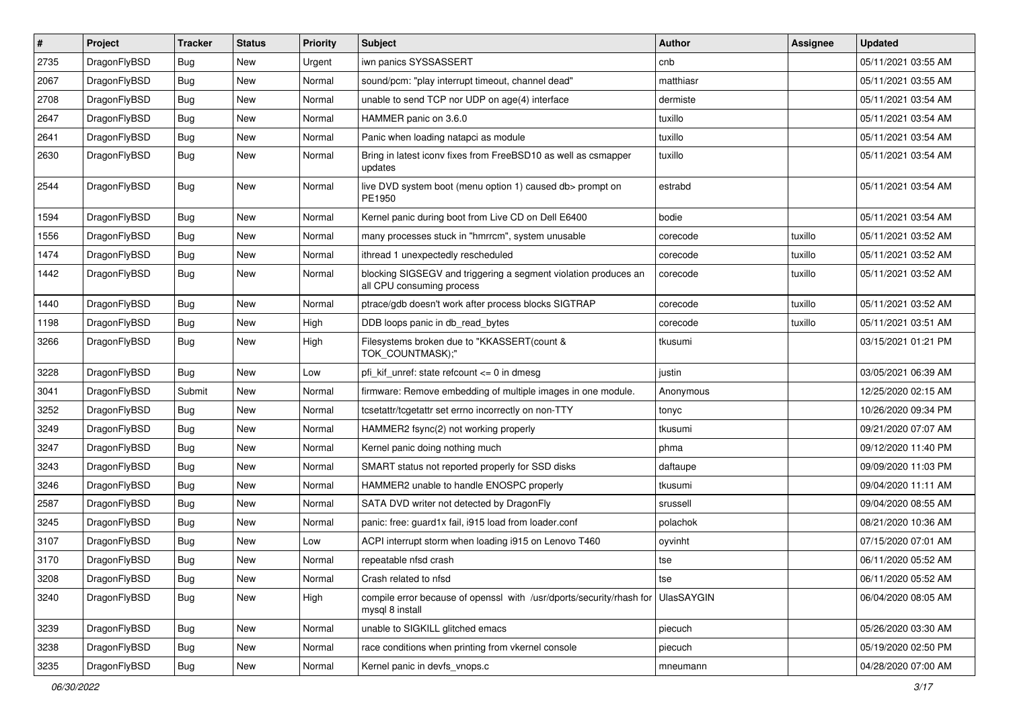| $\vert$ # | Project      | <b>Tracker</b> | <b>Status</b> | <b>Priority</b> | <b>Subject</b>                                                                               | <b>Author</b> | <b>Assignee</b> | <b>Updated</b>      |
|-----------|--------------|----------------|---------------|-----------------|----------------------------------------------------------------------------------------------|---------------|-----------------|---------------------|
| 2735      | DragonFlyBSD | <b>Bug</b>     | New           | Urgent          | iwn panics SYSSASSERT                                                                        | cnb           |                 | 05/11/2021 03:55 AM |
| 2067      | DragonFlyBSD | Bug            | <b>New</b>    | Normal          | sound/pcm: "play interrupt timeout, channel dead"                                            | matthiasr     |                 | 05/11/2021 03:55 AM |
| 2708      | DragonFlyBSD | <b>Bug</b>     | <b>New</b>    | Normal          | unable to send TCP nor UDP on age(4) interface                                               | dermiste      |                 | 05/11/2021 03:54 AM |
| 2647      | DragonFlyBSD | Bug            | <b>New</b>    | Normal          | HAMMER panic on 3.6.0                                                                        | tuxillo       |                 | 05/11/2021 03:54 AM |
| 2641      | DragonFlyBSD | Bug            | <b>New</b>    | Normal          | Panic when loading natapci as module                                                         | tuxillo       |                 | 05/11/2021 03:54 AM |
| 2630      | DragonFlyBSD | Bug            | New           | Normal          | Bring in latest iconv fixes from FreeBSD10 as well as csmapper<br>updates                    | tuxillo       |                 | 05/11/2021 03:54 AM |
| 2544      | DragonFlyBSD | <b>Bug</b>     | New           | Normal          | live DVD system boot (menu option 1) caused db> prompt on<br>PE1950                          | estrabd       |                 | 05/11/2021 03:54 AM |
| 1594      | DragonFlyBSD | Bug            | <b>New</b>    | Normal          | Kernel panic during boot from Live CD on Dell E6400                                          | bodie         |                 | 05/11/2021 03:54 AM |
| 1556      | DragonFlyBSD | <b>Bug</b>     | <b>New</b>    | Normal          | many processes stuck in "hmrrcm", system unusable                                            | corecode      | tuxillo         | 05/11/2021 03:52 AM |
| 1474      | DragonFlyBSD | Bug            | <b>New</b>    | Normal          | ithread 1 unexpectedly rescheduled                                                           | corecode      | tuxillo         | 05/11/2021 03:52 AM |
| 1442      | DragonFlyBSD | Bug            | New           | Normal          | blocking SIGSEGV and triggering a segment violation produces an<br>all CPU consuming process | corecode      | tuxillo         | 05/11/2021 03:52 AM |
| 1440      | DragonFlyBSD | Bug            | <b>New</b>    | Normal          | ptrace/gdb doesn't work after process blocks SIGTRAP                                         | corecode      | tuxillo         | 05/11/2021 03:52 AM |
| 1198      | DragonFlyBSD | Bug            | <b>New</b>    | High            | DDB loops panic in db_read_bytes                                                             | corecode      | tuxillo         | 05/11/2021 03:51 AM |
| 3266      | DragonFlyBSD | Bug            | New           | High            | Filesystems broken due to "KKASSERT(count &<br>TOK_COUNTMASK);"                              | tkusumi       |                 | 03/15/2021 01:21 PM |
| 3228      | DragonFlyBSD | Bug            | New           | Low             | pfi kif unref: state refcount $\leq$ 0 in dmesg                                              | justin        |                 | 03/05/2021 06:39 AM |
| 3041      | DragonFlyBSD | Submit         | <b>New</b>    | Normal          | firmware: Remove embedding of multiple images in one module.                                 | Anonymous     |                 | 12/25/2020 02:15 AM |
| 3252      | DragonFlyBSD | Bug            | <b>New</b>    | Normal          | tcsetattr/tcgetattr set errno incorrectly on non-TTY                                         | tonyc         |                 | 10/26/2020 09:34 PM |
| 3249      | DragonFlyBSD | <b>Bug</b>     | New           | Normal          | HAMMER2 fsync(2) not working properly                                                        | tkusumi       |                 | 09/21/2020 07:07 AM |
| 3247      | DragonFlyBSD | Bug            | <b>New</b>    | Normal          | Kernel panic doing nothing much                                                              | phma          |                 | 09/12/2020 11:40 PM |
| 3243      | DragonFlyBSD | Bug            | <b>New</b>    | Normal          | SMART status not reported properly for SSD disks                                             | daftaupe      |                 | 09/09/2020 11:03 PM |
| 3246      | DragonFlyBSD | Bug            | <b>New</b>    | Normal          | HAMMER2 unable to handle ENOSPC properly                                                     | tkusumi       |                 | 09/04/2020 11:11 AM |
| 2587      | DragonFlyBSD | Bug            | <b>New</b>    | Normal          | SATA DVD writer not detected by DragonFly                                                    | srussell      |                 | 09/04/2020 08:55 AM |
| 3245      | DragonFlyBSD | Bug            | <b>New</b>    | Normal          | panic: free: guard1x fail, i915 load from loader.conf                                        | polachok      |                 | 08/21/2020 10:36 AM |
| 3107      | DragonFlyBSD | Bug            | New           | Low             | ACPI interrupt storm when loading i915 on Lenovo T460                                        | oyvinht       |                 | 07/15/2020 07:01 AM |
| 3170      | DragonFlyBSD | <b>Bug</b>     | <b>New</b>    | Normal          | repeatable nfsd crash                                                                        | tse           |                 | 06/11/2020 05:52 AM |
| 3208      | DragonFlyBSD | <b>Bug</b>     | New           | Normal          | Crash related to nfsd                                                                        | tse           |                 | 06/11/2020 05:52 AM |
| 3240      | DragonFlyBSD | <b>Bug</b>     | New           | High            | compile error because of openssl with /usr/dports/security/rhash for<br>mysql 8 install      | UlasSAYGIN    |                 | 06/04/2020 08:05 AM |
| 3239      | DragonFlyBSD | <b>Bug</b>     | New           | Normal          | unable to SIGKILL glitched emacs                                                             | piecuch       |                 | 05/26/2020 03:30 AM |
| 3238      | DragonFlyBSD | Bug            | New           | Normal          | race conditions when printing from vkernel console                                           | piecuch       |                 | 05/19/2020 02:50 PM |
| 3235      | DragonFlyBSD | <b>Bug</b>     | New           | Normal          | Kernel panic in devfs_vnops.c                                                                | mneumann      |                 | 04/28/2020 07:00 AM |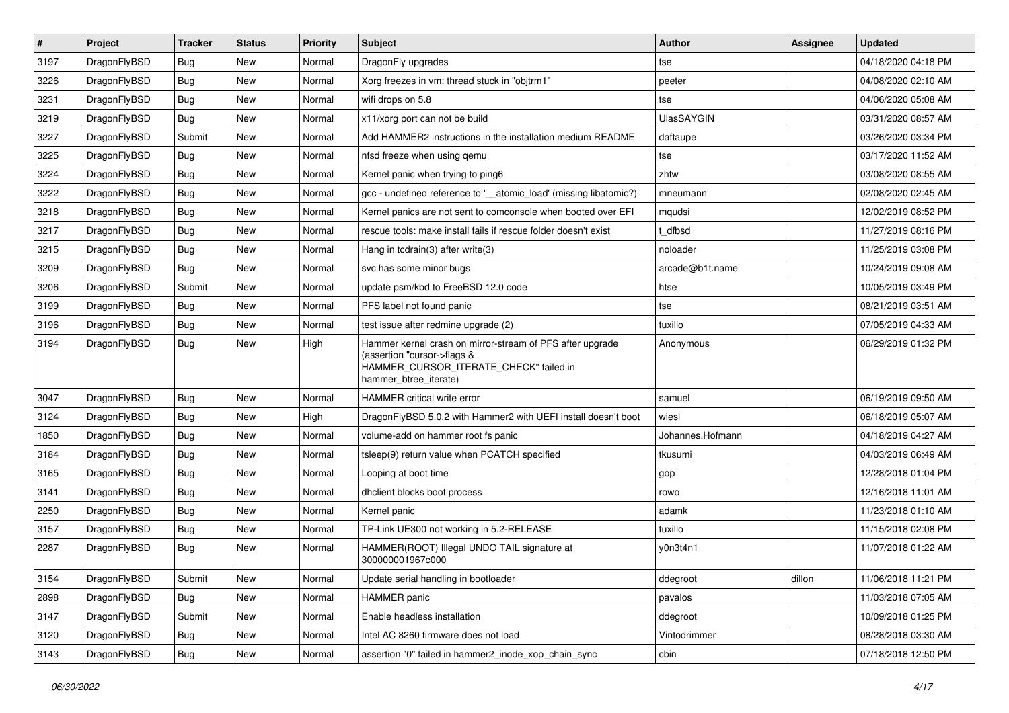| $\vert$ # | Project      | <b>Tracker</b> | <b>Status</b> | <b>Priority</b> | Subject                                                                                                                                                     | <b>Author</b>     | Assignee | <b>Updated</b>      |
|-----------|--------------|----------------|---------------|-----------------|-------------------------------------------------------------------------------------------------------------------------------------------------------------|-------------------|----------|---------------------|
| 3197      | DragonFlyBSD | Bug            | <b>New</b>    | Normal          | DragonFly upgrades                                                                                                                                          | tse               |          | 04/18/2020 04:18 PM |
| 3226      | DragonFlyBSD | Bug            | <b>New</b>    | Normal          | Xorg freezes in vm: thread stuck in "objtrm1"                                                                                                               | peeter            |          | 04/08/2020 02:10 AM |
| 3231      | DragonFlyBSD | Bug            | New           | Normal          | wifi drops on 5.8                                                                                                                                           | tse               |          | 04/06/2020 05:08 AM |
| 3219      | DragonFlyBSD | Bug            | <b>New</b>    | Normal          | x11/xorg port can not be build                                                                                                                              | <b>UlasSAYGIN</b> |          | 03/31/2020 08:57 AM |
| 3227      | DragonFlyBSD | Submit         | <b>New</b>    | Normal          | Add HAMMER2 instructions in the installation medium README                                                                                                  | daftaupe          |          | 03/26/2020 03:34 PM |
| 3225      | DragonFlyBSD | Bug            | New           | Normal          | nfsd freeze when using gemu                                                                                                                                 | tse               |          | 03/17/2020 11:52 AM |
| 3224      | DragonFlyBSD | Bug            | <b>New</b>    | Normal          | Kernel panic when trying to ping6                                                                                                                           | zhtw              |          | 03/08/2020 08:55 AM |
| 3222      | DragonFlyBSD | Bug            | <b>New</b>    | Normal          | gcc - undefined reference to '__atomic_load' (missing libatomic?)                                                                                           | mneumann          |          | 02/08/2020 02:45 AM |
| 3218      | DragonFlyBSD | Bug            | <b>New</b>    | Normal          | Kernel panics are not sent to comconsole when booted over EFI                                                                                               | mqudsi            |          | 12/02/2019 08:52 PM |
| 3217      | DragonFlyBSD | Bug            | <b>New</b>    | Normal          | rescue tools: make install fails if rescue folder doesn't exist                                                                                             | t dfbsd           |          | 11/27/2019 08:16 PM |
| 3215      | DragonFlyBSD | <b>Bug</b>     | New           | Normal          | Hang in tcdrain(3) after write(3)                                                                                                                           | noloader          |          | 11/25/2019 03:08 PM |
| 3209      | DragonFlyBSD | Bug            | <b>New</b>    | Normal          | svc has some minor bugs                                                                                                                                     | arcade@b1t.name   |          | 10/24/2019 09:08 AM |
| 3206      | DragonFlyBSD | Submit         | New           | Normal          | update psm/kbd to FreeBSD 12.0 code                                                                                                                         | htse              |          | 10/05/2019 03:49 PM |
| 3199      | DragonFlyBSD | Bug            | <b>New</b>    | Normal          | PFS label not found panic                                                                                                                                   | tse               |          | 08/21/2019 03:51 AM |
| 3196      | DragonFlyBSD | Bug            | <b>New</b>    | Normal          | test issue after redmine upgrade (2)                                                                                                                        | tuxillo           |          | 07/05/2019 04:33 AM |
| 3194      | DragonFlyBSD | Bug            | New           | High            | Hammer kernel crash on mirror-stream of PFS after upgrade<br>(assertion "cursor->flags &<br>HAMMER_CURSOR_ITERATE_CHECK" failed in<br>hammer btree iterate) | Anonymous         |          | 06/29/2019 01:32 PM |
| 3047      | DragonFlyBSD | <b>Bug</b>     | <b>New</b>    | Normal          | HAMMER critical write error                                                                                                                                 | samuel            |          | 06/19/2019 09:50 AM |
| 3124      | DragonFlyBSD | Bug            | New           | High            | DragonFlyBSD 5.0.2 with Hammer2 with UEFI install doesn't boot                                                                                              | wiesl             |          | 06/18/2019 05:07 AM |
| 1850      | DragonFlyBSD | Bug            | <b>New</b>    | Normal          | volume-add on hammer root fs panic                                                                                                                          | Johannes.Hofmann  |          | 04/18/2019 04:27 AM |
| 3184      | DragonFlyBSD | Bug            | <b>New</b>    | Normal          | tsleep(9) return value when PCATCH specified                                                                                                                | tkusumi           |          | 04/03/2019 06:49 AM |
| 3165      | DragonFlyBSD | Bug            | <b>New</b>    | Normal          | Looping at boot time                                                                                                                                        | gop               |          | 12/28/2018 01:04 PM |
| 3141      | DragonFlyBSD | Bug            | <b>New</b>    | Normal          | dhclient blocks boot process                                                                                                                                | rowo              |          | 12/16/2018 11:01 AM |
| 2250      | DragonFlyBSD | Bug            | New           | Normal          | Kernel panic                                                                                                                                                | adamk             |          | 11/23/2018 01:10 AM |
| 3157      | DragonFlyBSD | Bug            | New           | Normal          | TP-Link UE300 not working in 5.2-RELEASE                                                                                                                    | tuxillo           |          | 11/15/2018 02:08 PM |
| 2287      | DragonFlyBSD | Bug            | New           | Normal          | HAMMER(ROOT) Illegal UNDO TAIL signature at<br>300000001967c000                                                                                             | v0n3t4n1          |          | 11/07/2018 01:22 AM |
| 3154      | DragonFlyBSD | Submit         | New           | Normal          | Update serial handling in bootloader                                                                                                                        | ddegroot          | dillon   | 11/06/2018 11:21 PM |
| 2898      | DragonFlyBSD | Bug            | New           | Normal          | HAMMER panic                                                                                                                                                | pavalos           |          | 11/03/2018 07:05 AM |
| 3147      | DragonFlyBSD | Submit         | New           | Normal          | Enable headless installation                                                                                                                                | ddegroot          |          | 10/09/2018 01:25 PM |
| 3120      | DragonFlyBSD | <b>Bug</b>     | New           | Normal          | Intel AC 8260 firmware does not load                                                                                                                        | Vintodrimmer      |          | 08/28/2018 03:30 AM |
| 3143      | DragonFlyBSD | <b>Bug</b>     | New           | Normal          | assertion "0" failed in hammer2_inode_xop_chain_sync                                                                                                        | cbin              |          | 07/18/2018 12:50 PM |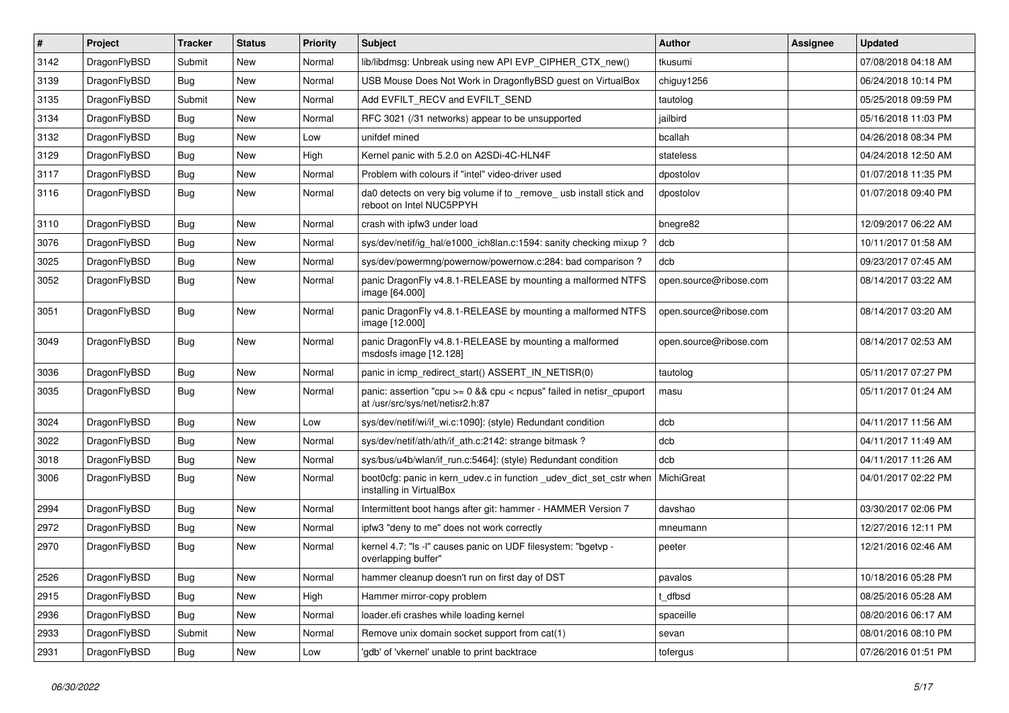| $\vert$ # | Project      | <b>Tracker</b> | <b>Status</b> | <b>Priority</b> | Subject                                                                                                 | <b>Author</b>          | Assignee | <b>Updated</b>      |
|-----------|--------------|----------------|---------------|-----------------|---------------------------------------------------------------------------------------------------------|------------------------|----------|---------------------|
| 3142      | DragonFlyBSD | Submit         | New           | Normal          | lib/libdmsg: Unbreak using new API EVP_CIPHER_CTX_new()                                                 | tkusumi                |          | 07/08/2018 04:18 AM |
| 3139      | DragonFlyBSD | Bug            | New           | Normal          | USB Mouse Does Not Work in DragonflyBSD guest on VirtualBox                                             | chiguy1256             |          | 06/24/2018 10:14 PM |
| 3135      | DragonFlyBSD | Submit         | New           | Normal          | Add EVFILT_RECV and EVFILT_SEND                                                                         | tautolog               |          | 05/25/2018 09:59 PM |
| 3134      | DragonFlyBSD | <b>Bug</b>     | New           | Normal          | RFC 3021 (/31 networks) appear to be unsupported                                                        | jailbird               |          | 05/16/2018 11:03 PM |
| 3132      | DragonFlyBSD | Bug            | <b>New</b>    | Low             | unifdef mined                                                                                           | bcallah                |          | 04/26/2018 08:34 PM |
| 3129      | DragonFlyBSD | <b>Bug</b>     | <b>New</b>    | High            | Kernel panic with 5.2.0 on A2SDi-4C-HLN4F                                                               | stateless              |          | 04/24/2018 12:50 AM |
| 3117      | DragonFlyBSD | <b>Bug</b>     | New           | Normal          | Problem with colours if "intel" video-driver used                                                       | dpostolov              |          | 01/07/2018 11:35 PM |
| 3116      | DragonFlyBSD | <b>Bug</b>     | <b>New</b>    | Normal          | da0 detects on very big volume if to _remove_ usb install stick and<br>reboot on Intel NUC5PPYH         | dpostolov              |          | 01/07/2018 09:40 PM |
| 3110      | DragonFlyBSD | Bug            | <b>New</b>    | Normal          | crash with ipfw3 under load                                                                             | bnegre82               |          | 12/09/2017 06:22 AM |
| 3076      | DragonFlyBSD | <b>Bug</b>     | New           | Normal          | sys/dev/netif/ig hal/e1000 ich8lan.c:1594: sanity checking mixup?                                       | dcb                    |          | 10/11/2017 01:58 AM |
| 3025      | DragonFlyBSD | <b>Bug</b>     | New           | Normal          | sys/dev/powermng/powernow/powernow.c:284: bad comparison?                                               | dcb                    |          | 09/23/2017 07:45 AM |
| 3052      | DragonFlyBSD | Bug            | New           | Normal          | panic DragonFly v4.8.1-RELEASE by mounting a malformed NTFS<br>image [64.000]                           | open.source@ribose.com |          | 08/14/2017 03:22 AM |
| 3051      | DragonFlyBSD | Bug            | New           | Normal          | panic DragonFly v4.8.1-RELEASE by mounting a malformed NTFS<br>image [12.000]                           | open.source@ribose.com |          | 08/14/2017 03:20 AM |
| 3049      | DragonFlyBSD | Bug            | New           | Normal          | panic DragonFly v4.8.1-RELEASE by mounting a malformed<br>msdosfs image [12.128]                        | open.source@ribose.com |          | 08/14/2017 02:53 AM |
| 3036      | DragonFlyBSD | <b>Bug</b>     | New           | Normal          | panic in icmp redirect start() ASSERT IN NETISR(0)                                                      | tautolog               |          | 05/11/2017 07:27 PM |
| 3035      | DragonFlyBSD | <b>Bug</b>     | New           | Normal          | panic: assertion "cpu >= 0 && cpu < ncpus" failed in netisr_cpuport<br>at /usr/src/sys/net/netisr2.h:87 | masu                   |          | 05/11/2017 01:24 AM |
| 3024      | DragonFlyBSD | Bug            | New           | Low             | sys/dev/netif/wi/if wi.c:1090]: (style) Redundant condition                                             | dcb                    |          | 04/11/2017 11:56 AM |
| 3022      | DragonFlyBSD | <b>Bug</b>     | New           | Normal          | sys/dev/netif/ath/ath/if ath.c:2142: strange bitmask?                                                   | dcb                    |          | 04/11/2017 11:49 AM |
| 3018      | DragonFlyBSD | <b>Bug</b>     | New           | Normal          | sys/bus/u4b/wlan/if_run.c:5464]: (style) Redundant condition                                            | dcb                    |          | 04/11/2017 11:26 AM |
| 3006      | DragonFlyBSD | <b>Bug</b>     | New           | Normal          | boot0cfg: panic in kern_udev.c in function _udev_dict_set_cstr when<br>installing in VirtualBox         | MichiGreat             |          | 04/01/2017 02:22 PM |
| 2994      | DragonFlyBSD | <b>Bug</b>     | <b>New</b>    | Normal          | Intermittent boot hangs after git: hammer - HAMMER Version 7                                            | davshao                |          | 03/30/2017 02:06 PM |
| 2972      | DragonFlyBSD | <b>Bug</b>     | New           | Normal          | ipfw3 "deny to me" does not work correctly                                                              | mneumann               |          | 12/27/2016 12:11 PM |
| 2970      | DragonFlyBSD | Bug            | New           | Normal          | kernel 4.7: "Is -l" causes panic on UDF filesystem: "bgetvp -<br>overlapping buffer"                    | peeter                 |          | 12/21/2016 02:46 AM |
| 2526      | DragonFlyBSD | <b>Bug</b>     | New           | Normal          | hammer cleanup doesn't run on first day of DST                                                          | pavalos                |          | 10/18/2016 05:28 PM |
| 2915      | DragonFlyBSD | <b>Bug</b>     | New           | High            | Hammer mirror-copy problem                                                                              | t_dfbsd                |          | 08/25/2016 05:28 AM |
| 2936      | DragonFlyBSD | Bug            | New           | Normal          | loader.efi crashes while loading kernel                                                                 | spaceille              |          | 08/20/2016 06:17 AM |
| 2933      | DragonFlyBSD | Submit         | New           | Normal          | Remove unix domain socket support from cat(1)                                                           | sevan                  |          | 08/01/2016 08:10 PM |
| 2931      | DragonFlyBSD | <b>Bug</b>     | New           | Low             | 'gdb' of 'vkernel' unable to print backtrace                                                            | tofergus               |          | 07/26/2016 01:51 PM |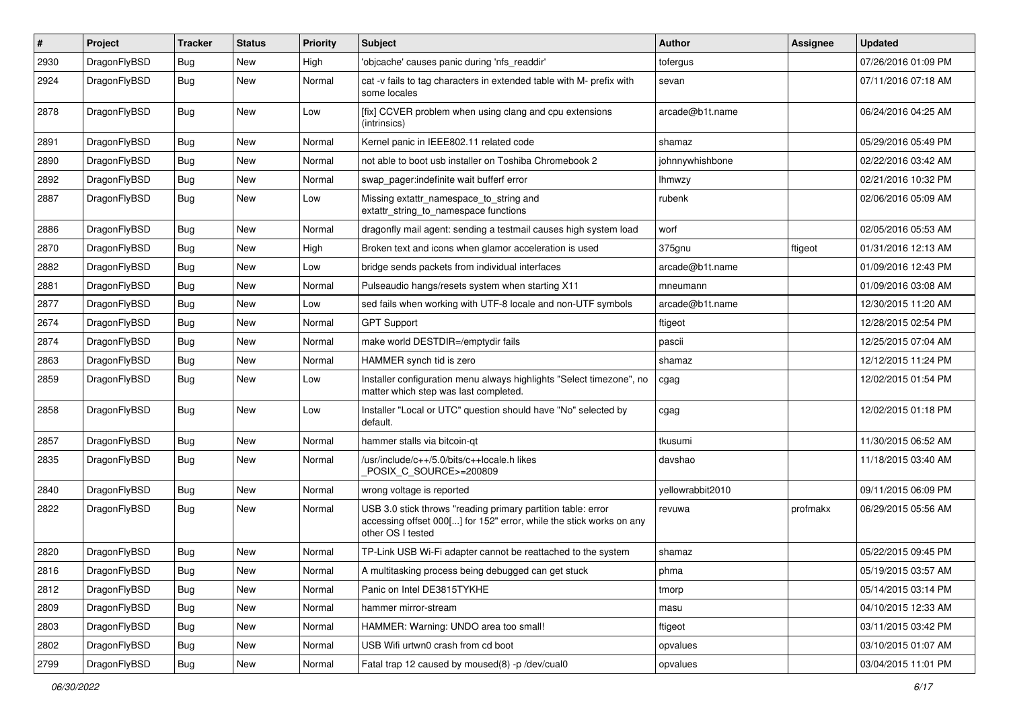| #    | Project      | <b>Tracker</b> | <b>Status</b> | <b>Priority</b> | Subject                                                                                                                                                  | <b>Author</b>    | Assignee | <b>Updated</b>      |
|------|--------------|----------------|---------------|-----------------|----------------------------------------------------------------------------------------------------------------------------------------------------------|------------------|----------|---------------------|
| 2930 | DragonFlyBSD | <b>Bug</b>     | <b>New</b>    | High            | 'objcache' causes panic during 'nfs readdir'                                                                                                             | tofergus         |          | 07/26/2016 01:09 PM |
| 2924 | DragonFlyBSD | <b>Bug</b>     | <b>New</b>    | Normal          | cat -v fails to tag characters in extended table with M- prefix with<br>some locales                                                                     | sevan            |          | 07/11/2016 07:18 AM |
| 2878 | DragonFlyBSD | Bug            | New           | Low             | [fix] CCVER problem when using clang and cpu extensions<br>(intrinsics)                                                                                  | arcade@b1t.name  |          | 06/24/2016 04:25 AM |
| 2891 | DragonFlyBSD | <b>Bug</b>     | <b>New</b>    | Normal          | Kernel panic in IEEE802.11 related code                                                                                                                  | shamaz           |          | 05/29/2016 05:49 PM |
| 2890 | DragonFlyBSD | <b>Bug</b>     | <b>New</b>    | Normal          | not able to boot usb installer on Toshiba Chromebook 2                                                                                                   | johnnywhishbone  |          | 02/22/2016 03:42 AM |
| 2892 | DragonFlyBSD | <b>Bug</b>     | New           | Normal          | swap pager:indefinite wait bufferf error                                                                                                                 | <b>Ihmwzy</b>    |          | 02/21/2016 10:32 PM |
| 2887 | DragonFlyBSD | <b>Bug</b>     | New           | Low             | Missing extattr_namespace_to_string and<br>extattr_string_to_namespace functions                                                                         | rubenk           |          | 02/06/2016 05:09 AM |
| 2886 | DragonFlyBSD | <b>Bug</b>     | <b>New</b>    | Normal          | dragonfly mail agent: sending a testmail causes high system load                                                                                         | worf             |          | 02/05/2016 05:53 AM |
| 2870 | DragonFlyBSD | <b>Bug</b>     | New           | High            | Broken text and icons when glamor acceleration is used                                                                                                   | 375gnu           | ftigeot  | 01/31/2016 12:13 AM |
| 2882 | DragonFlyBSD | <b>Bug</b>     | <b>New</b>    | Low             | bridge sends packets from individual interfaces                                                                                                          | arcade@b1t.name  |          | 01/09/2016 12:43 PM |
| 2881 | DragonFlyBSD | <b>Bug</b>     | <b>New</b>    | Normal          | Pulseaudio hangs/resets system when starting X11                                                                                                         | mneumann         |          | 01/09/2016 03:08 AM |
| 2877 | DragonFlyBSD | <b>Bug</b>     | <b>New</b>    | Low             | sed fails when working with UTF-8 locale and non-UTF symbols                                                                                             | arcade@b1t.name  |          | 12/30/2015 11:20 AM |
| 2674 | DragonFlyBSD | <b>Bug</b>     | New           | Normal          | <b>GPT Support</b>                                                                                                                                       | ftigeot          |          | 12/28/2015 02:54 PM |
| 2874 | DragonFlyBSD | <b>Bug</b>     | New           | Normal          | make world DESTDIR=/emptydir fails                                                                                                                       | pascii           |          | 12/25/2015 07:04 AM |
| 2863 | DragonFlyBSD | Bug            | <b>New</b>    | Normal          | HAMMER synch tid is zero                                                                                                                                 | shamaz           |          | 12/12/2015 11:24 PM |
| 2859 | DragonFlyBSD | <b>Bug</b>     | <b>New</b>    | Low             | Installer configuration menu always highlights "Select timezone", no<br>matter which step was last completed.                                            | cgag             |          | 12/02/2015 01:54 PM |
| 2858 | DragonFlyBSD | Bug            | New           | Low             | Installer "Local or UTC" question should have "No" selected by<br>default.                                                                               | cgag             |          | 12/02/2015 01:18 PM |
| 2857 | DragonFlyBSD | Bug            | New           | Normal          | hammer stalls via bitcoin-qt                                                                                                                             | tkusumi          |          | 11/30/2015 06:52 AM |
| 2835 | DragonFlyBSD | Bug            | <b>New</b>    | Normal          | /usr/include/c++/5.0/bits/c++locale.h likes<br>POSIX C SOURCE>=200809                                                                                    | davshao          |          | 11/18/2015 03:40 AM |
| 2840 | DragonFlyBSD | Bug            | <b>New</b>    | Normal          | wrong voltage is reported                                                                                                                                | yellowrabbit2010 |          | 09/11/2015 06:09 PM |
| 2822 | DragonFlyBSD | <b>Bug</b>     | <b>New</b>    | Normal          | USB 3.0 stick throws "reading primary partition table: error<br>accessing offset 000[] for 152" error, while the stick works on any<br>other OS I tested | revuwa           | profmakx | 06/29/2015 05:56 AM |
| 2820 | DragonFlyBSD | <b>Bug</b>     | New           | Normal          | TP-Link USB Wi-Fi adapter cannot be reattached to the system                                                                                             | shamaz           |          | 05/22/2015 09:45 PM |
| 2816 | DragonFlyBSD | <b>Bug</b>     | New           | Normal          | A multitasking process being debugged can get stuck                                                                                                      | phma             |          | 05/19/2015 03:57 AM |
| 2812 | DragonFlyBSD | <b>Bug</b>     | New           | Normal          | Panic on Intel DE3815TYKHE                                                                                                                               | tmorp            |          | 05/14/2015 03:14 PM |
| 2809 | DragonFlyBSD | <b>Bug</b>     | <b>New</b>    | Normal          | hammer mirror-stream                                                                                                                                     | masu             |          | 04/10/2015 12:33 AM |
| 2803 | DragonFlyBSD | Bug            | New           | Normal          | HAMMER: Warning: UNDO area too small!                                                                                                                    | ftigeot          |          | 03/11/2015 03:42 PM |
| 2802 | DragonFlyBSD | Bug            | New           | Normal          | USB Wifi urtwn0 crash from cd boot                                                                                                                       | opvalues         |          | 03/10/2015 01:07 AM |
| 2799 | DragonFlyBSD | <b>Bug</b>     | New           | Normal          | Fatal trap 12 caused by moused(8) -p /dev/cual0                                                                                                          | opvalues         |          | 03/04/2015 11:01 PM |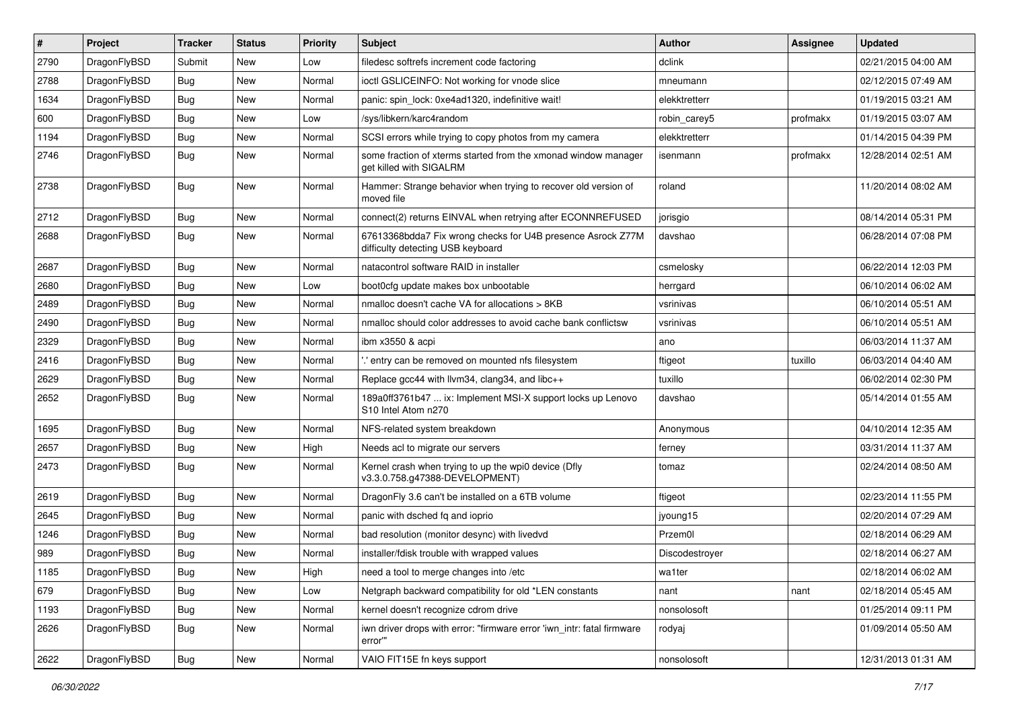| ∦    | Project      | <b>Tracker</b> | <b>Status</b> | <b>Priority</b> | <b>Subject</b>                                                                                   | <b>Author</b>  | Assignee | <b>Updated</b>      |
|------|--------------|----------------|---------------|-----------------|--------------------------------------------------------------------------------------------------|----------------|----------|---------------------|
| 2790 | DragonFlyBSD | Submit         | <b>New</b>    | Low             | filedesc softrefs increment code factoring                                                       | dclink         |          | 02/21/2015 04:00 AM |
| 2788 | DragonFlyBSD | Bug            | <b>New</b>    | Normal          | ioctl GSLICEINFO: Not working for vnode slice                                                    | mneumann       |          | 02/12/2015 07:49 AM |
| 1634 | DragonFlyBSD | <b>Bug</b>     | <b>New</b>    | Normal          | panic: spin lock: 0xe4ad1320, indefinitive wait!                                                 | elekktretterr  |          | 01/19/2015 03:21 AM |
| 600  | DragonFlyBSD | Bug            | <b>New</b>    | Low             | /sys/libkern/karc4random                                                                         | robin carey5   | profmakx | 01/19/2015 03:07 AM |
| 1194 | DragonFlyBSD | <b>Bug</b>     | <b>New</b>    | Normal          | SCSI errors while trying to copy photos from my camera                                           | elekktretterr  |          | 01/14/2015 04:39 PM |
| 2746 | DragonFlyBSD | Bug            | New           | Normal          | some fraction of xterms started from the xmonad window manager<br>get killed with SIGALRM        | isenmann       | profmakx | 12/28/2014 02:51 AM |
| 2738 | DragonFlyBSD | <b>Bug</b>     | New           | Normal          | Hammer: Strange behavior when trying to recover old version of<br>moved file                     | roland         |          | 11/20/2014 08:02 AM |
| 2712 | DragonFlyBSD | <b>Bug</b>     | <b>New</b>    | Normal          | connect(2) returns EINVAL when retrying after ECONNREFUSED                                       | jorisgio       |          | 08/14/2014 05:31 PM |
| 2688 | DragonFlyBSD | Bug            | <b>New</b>    | Normal          | 67613368bdda7 Fix wrong checks for U4B presence Asrock Z77M<br>difficulty detecting USB keyboard | davshao        |          | 06/28/2014 07:08 PM |
| 2687 | DragonFlyBSD | <b>Bug</b>     | <b>New</b>    | Normal          | natacontrol software RAID in installer                                                           | csmelosky      |          | 06/22/2014 12:03 PM |
| 2680 | DragonFlyBSD | <b>Bug</b>     | <b>New</b>    | Low             | boot0cfg update makes box unbootable                                                             | herrgard       |          | 06/10/2014 06:02 AM |
| 2489 | DragonFlyBSD | Bug            | <b>New</b>    | Normal          | nmalloc doesn't cache VA for allocations > 8KB                                                   | vsrinivas      |          | 06/10/2014 05:51 AM |
| 2490 | DragonFlyBSD | <b>Bug</b>     | New           | Normal          | nmalloc should color addresses to avoid cache bank conflictsw                                    | vsrinivas      |          | 06/10/2014 05:51 AM |
| 2329 | DragonFlyBSD | Bug            | <b>New</b>    | Normal          | ibm x3550 & acpi                                                                                 | ano            |          | 06/03/2014 11:37 AM |
| 2416 | DragonFlyBSD | <b>Bug</b>     | <b>New</b>    | Normal          | ' entry can be removed on mounted nfs filesystem                                                 | ftigeot        | tuxillo  | 06/03/2014 04:40 AM |
| 2629 | DragonFlyBSD | <b>Bug</b>     | <b>New</b>    | Normal          | Replace gcc44 with llvm34, clang34, and libc++                                                   | tuxillo        |          | 06/02/2014 02:30 PM |
| 2652 | DragonFlyBSD | Bug            | <b>New</b>    | Normal          | 189a0ff3761b47  ix: Implement MSI-X support locks up Lenovo<br>S10 Intel Atom n270               | davshao        |          | 05/14/2014 01:55 AM |
| 1695 | DragonFlyBSD | <b>Bug</b>     | <b>New</b>    | Normal          | NFS-related system breakdown                                                                     | Anonymous      |          | 04/10/2014 12:35 AM |
| 2657 | DragonFlyBSD | Bug            | <b>New</b>    | High            | Needs acl to migrate our servers                                                                 | ferney         |          | 03/31/2014 11:37 AM |
| 2473 | DragonFlyBSD | Bug            | New           | Normal          | Kernel crash when trying to up the wpi0 device (Dfly<br>v3.3.0.758.g47388-DEVELOPMENT)           | tomaz          |          | 02/24/2014 08:50 AM |
| 2619 | DragonFlyBSD | Bug            | <b>New</b>    | Normal          | DragonFly 3.6 can't be installed on a 6TB volume                                                 | ftigeot        |          | 02/23/2014 11:55 PM |
| 2645 | DragonFlyBSD | Bug            | <b>New</b>    | Normal          | panic with dsched fq and ioprio                                                                  | jyoung15       |          | 02/20/2014 07:29 AM |
| 1246 | DragonFlyBSD | Bug            | <b>New</b>    | Normal          | bad resolution (monitor desync) with livedvd                                                     | Przem0l        |          | 02/18/2014 06:29 AM |
| 989  | DragonFlyBSD | <b>Bug</b>     | <b>New</b>    | Normal          | installer/fdisk trouble with wrapped values                                                      | Discodestrover |          | 02/18/2014 06:27 AM |
| 1185 | DragonFlyBSD | <b>Bug</b>     | New           | High            | need a tool to merge changes into /etc                                                           | wa1ter         |          | 02/18/2014 06:02 AM |
| 679  | DragonFlyBSD | Bug            | <b>New</b>    | Low             | Netgraph backward compatibility for old *LEN constants                                           | nant           | nant     | 02/18/2014 05:45 AM |
| 1193 | DragonFlyBSD | <b>Bug</b>     | New           | Normal          | kernel doesn't recognize cdrom drive                                                             | nonsolosoft    |          | 01/25/2014 09:11 PM |
| 2626 | DragonFlyBSD | Bug            | New           | Normal          | iwn driver drops with error: "firmware error 'iwn_intr: fatal firmware<br>error""                | rodyaj         |          | 01/09/2014 05:50 AM |
| 2622 | DragonFlyBSD | Bug            | New           | Normal          | VAIO FIT15E fn keys support                                                                      | nonsolosoft    |          | 12/31/2013 01:31 AM |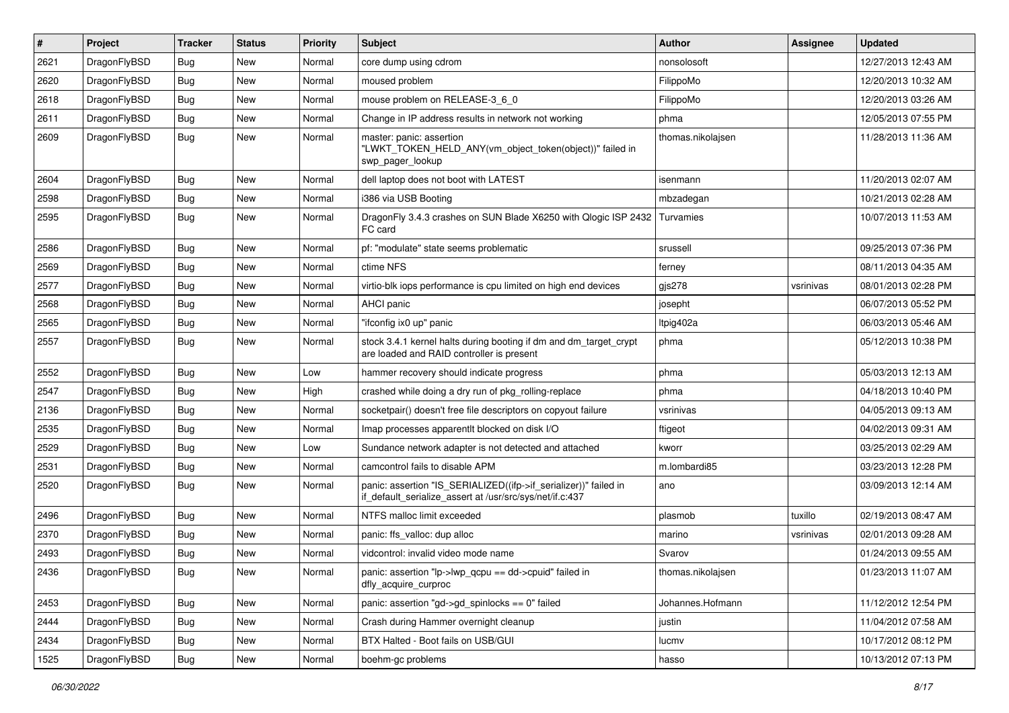| $\pmb{\#}$ | Project      | <b>Tracker</b> | <b>Status</b> | <b>Priority</b> | <b>Subject</b>                                                                                                               | <b>Author</b>     | Assignee  | <b>Updated</b>      |
|------------|--------------|----------------|---------------|-----------------|------------------------------------------------------------------------------------------------------------------------------|-------------------|-----------|---------------------|
| 2621       | DragonFlyBSD | Bug            | <b>New</b>    | Normal          | core dump using cdrom                                                                                                        | nonsolosoft       |           | 12/27/2013 12:43 AM |
| 2620       | DragonFlyBSD | Bug            | <b>New</b>    | Normal          | moused problem                                                                                                               | FilippoMo         |           | 12/20/2013 10:32 AM |
| 2618       | DragonFlyBSD | <b>Bug</b>     | <b>New</b>    | Normal          | mouse problem on RELEASE-3_6_0                                                                                               | FilippoMo         |           | 12/20/2013 03:26 AM |
| 2611       | DragonFlyBSD | Bug            | <b>New</b>    | Normal          | Change in IP address results in network not working                                                                          | phma              |           | 12/05/2013 07:55 PM |
| 2609       | DragonFlyBSD | Bug            | New           | Normal          | master: panic: assertion<br>"LWKT_TOKEN_HELD_ANY(vm_object_token(object))" failed in<br>swp pager lookup                     | thomas.nikolajsen |           | 11/28/2013 11:36 AM |
| 2604       | DragonFlyBSD | <b>Bug</b>     | <b>New</b>    | Normal          | dell laptop does not boot with LATEST                                                                                        | isenmann          |           | 11/20/2013 02:07 AM |
| 2598       | DragonFlyBSD | <b>Bug</b>     | <b>New</b>    | Normal          | i386 via USB Booting                                                                                                         | mbzadegan         |           | 10/21/2013 02:28 AM |
| 2595       | DragonFlyBSD | Bug            | <b>New</b>    | Normal          | DragonFly 3.4.3 crashes on SUN Blade X6250 with Qlogic ISP 2432<br>FC card                                                   | Turvamies         |           | 10/07/2013 11:53 AM |
| 2586       | DragonFlyBSD | Bug            | <b>New</b>    | Normal          | pf: "modulate" state seems problematic                                                                                       | srussell          |           | 09/25/2013 07:36 PM |
| 2569       | DragonFlyBSD | Bug            | <b>New</b>    | Normal          | ctime NFS                                                                                                                    | ferney            |           | 08/11/2013 04:35 AM |
| 2577       | DragonFlyBSD | <b>Bug</b>     | <b>New</b>    | Normal          | virtio-blk iops performance is cpu limited on high end devices                                                               | gjs278            | vsrinivas | 08/01/2013 02:28 PM |
| 2568       | DragonFlyBSD | Bug            | <b>New</b>    | Normal          | AHCI panic                                                                                                                   | josepht           |           | 06/07/2013 05:52 PM |
| 2565       | DragonFlyBSD | <b>Bug</b>     | <b>New</b>    | Normal          | "ifconfig ix0 up" panic                                                                                                      | Itpig402a         |           | 06/03/2013 05:46 AM |
| 2557       | DragonFlyBSD | Bug            | <b>New</b>    | Normal          | stock 3.4.1 kernel halts during booting if dm and dm_target_crypt<br>are loaded and RAID controller is present               | phma              |           | 05/12/2013 10:38 PM |
| 2552       | DragonFlyBSD | Bug            | <b>New</b>    | Low             | hammer recovery should indicate progress                                                                                     | phma              |           | 05/03/2013 12:13 AM |
| 2547       | DragonFlyBSD | Bug            | <b>New</b>    | High            | crashed while doing a dry run of pkg rolling-replace                                                                         | phma              |           | 04/18/2013 10:40 PM |
| 2136       | DragonFlyBSD | <b>Bug</b>     | <b>New</b>    | Normal          | socketpair() doesn't free file descriptors on copyout failure                                                                | vsrinivas         |           | 04/05/2013 09:13 AM |
| 2535       | DragonFlyBSD | <b>Bug</b>     | <b>New</b>    | Normal          | Imap processes apparentlt blocked on disk I/O                                                                                | ftigeot           |           | 04/02/2013 09:31 AM |
| 2529       | DragonFlyBSD | Bug            | <b>New</b>    | Low             | Sundance network adapter is not detected and attached                                                                        | kworr             |           | 03/25/2013 02:29 AM |
| 2531       | DragonFlyBSD | <b>Bug</b>     | <b>New</b>    | Normal          | camcontrol fails to disable APM                                                                                              | m.lombardi85      |           | 03/23/2013 12:28 PM |
| 2520       | DragonFlyBSD | Bug            | <b>New</b>    | Normal          | panic: assertion "IS_SERIALIZED((ifp->if_serializer))" failed in<br>if_default_serialize_assert at /usr/src/sys/net/if.c:437 | ano               |           | 03/09/2013 12:14 AM |
| 2496       | DragonFlyBSD | <b>Bug</b>     | <b>New</b>    | Normal          | NTFS malloc limit exceeded                                                                                                   | plasmob           | tuxillo   | 02/19/2013 08:47 AM |
| 2370       | DragonFlyBSD | Bug            | <b>New</b>    | Normal          | panic: ffs_valloc: dup alloc                                                                                                 | marino            | vsrinivas | 02/01/2013 09:28 AM |
| 2493       | DragonFlyBSD | <b>Bug</b>     | New           | Normal          | vidcontrol: invalid video mode name                                                                                          | Svarov            |           | 01/24/2013 09:55 AM |
| 2436       | DragonFlyBSD | <b>Bug</b>     | New           | Normal          | panic: assertion "lp->lwp_qcpu == dd->cpuid" failed in<br>dfly_acquire_curproc                                               | thomas.nikolajsen |           | 01/23/2013 11:07 AM |
| 2453       | DragonFlyBSD | Bug            | New           | Normal          | panic: assertion "gd->gd spinlocks == $0$ " failed                                                                           | Johannes.Hofmann  |           | 11/12/2012 12:54 PM |
| 2444       | DragonFlyBSD | <b>Bug</b>     | New           | Normal          | Crash during Hammer overnight cleanup                                                                                        | justin            |           | 11/04/2012 07:58 AM |
| 2434       | DragonFlyBSD | <b>Bug</b>     | New           | Normal          | BTX Halted - Boot fails on USB/GUI                                                                                           | lucmv             |           | 10/17/2012 08:12 PM |
| 1525       | DragonFlyBSD | <b>Bug</b>     | New           | Normal          | boehm-gc problems                                                                                                            | hasso             |           | 10/13/2012 07:13 PM |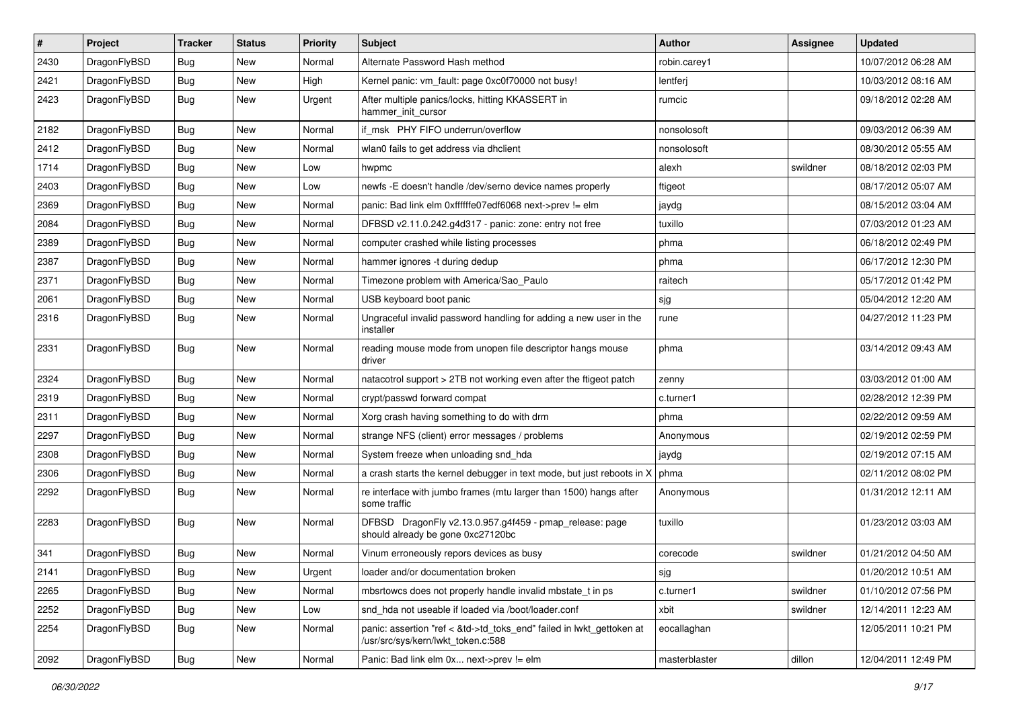| $\sharp$ | Project      | <b>Tracker</b> | <b>Status</b> | <b>Priority</b> | Subject                                                                                                    | <b>Author</b> | Assignee | <b>Updated</b>      |
|----------|--------------|----------------|---------------|-----------------|------------------------------------------------------------------------------------------------------------|---------------|----------|---------------------|
| 2430     | DragonFlyBSD | <b>Bug</b>     | New           | Normal          | Alternate Password Hash method                                                                             | robin.carey1  |          | 10/07/2012 06:28 AM |
| 2421     | DragonFlyBSD | Bug            | New           | High            | Kernel panic: vm_fault: page 0xc0f70000 not busy!                                                          | lentferj      |          | 10/03/2012 08:16 AM |
| 2423     | DragonFlyBSD | Bug            | New           | Urgent          | After multiple panics/locks, hitting KKASSERT in<br>hammer_init_cursor                                     | rumcic        |          | 09/18/2012 02:28 AM |
| 2182     | DragonFlyBSD | Bug            | <b>New</b>    | Normal          | if msk PHY FIFO underrun/overflow                                                                          | nonsolosoft   |          | 09/03/2012 06:39 AM |
| 2412     | DragonFlyBSD | <b>Bug</b>     | <b>New</b>    | Normal          | wlan0 fails to get address via dhclient                                                                    | nonsolosoft   |          | 08/30/2012 05:55 AM |
| 1714     | DragonFlyBSD | <b>Bug</b>     | <b>New</b>    | Low             | hwpmc                                                                                                      | alexh         | swildner | 08/18/2012 02:03 PM |
| 2403     | DragonFlyBSD | Bug            | <b>New</b>    | Low             | newfs - E doesn't handle / dev/serno device names properly                                                 | ftigeot       |          | 08/17/2012 05:07 AM |
| 2369     | DragonFlyBSD | <b>Bug</b>     | New           | Normal          | panic: Bad link elm 0xffffffe07edf6068 next->prev != elm                                                   | jaydg         |          | 08/15/2012 03:04 AM |
| 2084     | DragonFlyBSD | Bug            | <b>New</b>    | Normal          | DFBSD v2.11.0.242.g4d317 - panic: zone: entry not free                                                     | tuxillo       |          | 07/03/2012 01:23 AM |
| 2389     | DragonFlyBSD | <b>Bug</b>     | New           | Normal          | computer crashed while listing processes                                                                   | phma          |          | 06/18/2012 02:49 PM |
| 2387     | DragonFlyBSD | <b>Bug</b>     | <b>New</b>    | Normal          | hammer ignores -t during dedup                                                                             | phma          |          | 06/17/2012 12:30 PM |
| 2371     | DragonFlyBSD | Bug            | <b>New</b>    | Normal          | Timezone problem with America/Sao_Paulo                                                                    | raitech       |          | 05/17/2012 01:42 PM |
| 2061     | DragonFlyBSD | <b>Bug</b>     | New           | Normal          | USB keyboard boot panic                                                                                    | sjg           |          | 05/04/2012 12:20 AM |
| 2316     | DragonFlyBSD | Bug            | New           | Normal          | Ungraceful invalid password handling for adding a new user in the<br>installer                             | rune          |          | 04/27/2012 11:23 PM |
| 2331     | DragonFlyBSD | Bug            | <b>New</b>    | Normal          | reading mouse mode from unopen file descriptor hangs mouse<br>driver                                       | phma          |          | 03/14/2012 09:43 AM |
| 2324     | DragonFlyBSD | Bug            | New           | Normal          | natacotrol support > 2TB not working even after the ftigeot patch                                          | zenny         |          | 03/03/2012 01:00 AM |
| 2319     | DragonFlyBSD | <b>Bug</b>     | <b>New</b>    | Normal          | crypt/passwd forward compat                                                                                | c.turner1     |          | 02/28/2012 12:39 PM |
| 2311     | DragonFlyBSD | Bug            | <b>New</b>    | Normal          | Xorg crash having something to do with drm                                                                 | phma          |          | 02/22/2012 09:59 AM |
| 2297     | DragonFlyBSD | <b>Bug</b>     | New           | Normal          | strange NFS (client) error messages / problems                                                             | Anonymous     |          | 02/19/2012 02:59 PM |
| 2308     | DragonFlyBSD | Bug            | <b>New</b>    | Normal          | System freeze when unloading snd_hda                                                                       | jaydg         |          | 02/19/2012 07:15 AM |
| 2306     | DragonFlyBSD | <b>Bug</b>     | New           | Normal          | a crash starts the kernel debugger in text mode, but just reboots in X                                     | phma          |          | 02/11/2012 08:02 PM |
| 2292     | DragonFlyBSD | <b>Bug</b>     | New           | Normal          | re interface with jumbo frames (mtu larger than 1500) hangs after<br>some traffic                          | Anonymous     |          | 01/31/2012 12:11 AM |
| 2283     | DragonFlyBSD | Bug            | New           | Normal          | DFBSD DragonFly v2.13.0.957.g4f459 - pmap_release: page<br>should already be gone 0xc27120bc               | tuxillo       |          | 01/23/2012 03:03 AM |
| 341      | DragonFlyBSD | <b>Bug</b>     | New           | Normal          | Vinum erroneously repors devices as busy                                                                   | corecode      | swildner | 01/21/2012 04:50 AM |
| 2141     | DragonFlyBSD | <b>Bug</b>     | New           | Urgent          | loader and/or documentation broken                                                                         | sjg           |          | 01/20/2012 10:51 AM |
| 2265     | DragonFlyBSD | <b>Bug</b>     | <b>New</b>    | Normal          | mbsrtowcs does not properly handle invalid mbstate_t in ps                                                 | c.turner1     | swildner | 01/10/2012 07:56 PM |
| 2252     | DragonFlyBSD | <b>Bug</b>     | New           | Low             | snd hda not useable if loaded via /boot/loader.conf                                                        | xbit          | swildner | 12/14/2011 12:23 AM |
| 2254     | DragonFlyBSD | <b>Bug</b>     | New           | Normal          | panic: assertion "ref < &td->td_toks_end" failed in lwkt_gettoken at<br>/usr/src/sys/kern/lwkt token.c:588 | eocallaghan   |          | 12/05/2011 10:21 PM |
| 2092     | DragonFlyBSD | Bug            | New           | Normal          | Panic: Bad link elm 0x next->prev != elm                                                                   | masterblaster | dillon   | 12/04/2011 12:49 PM |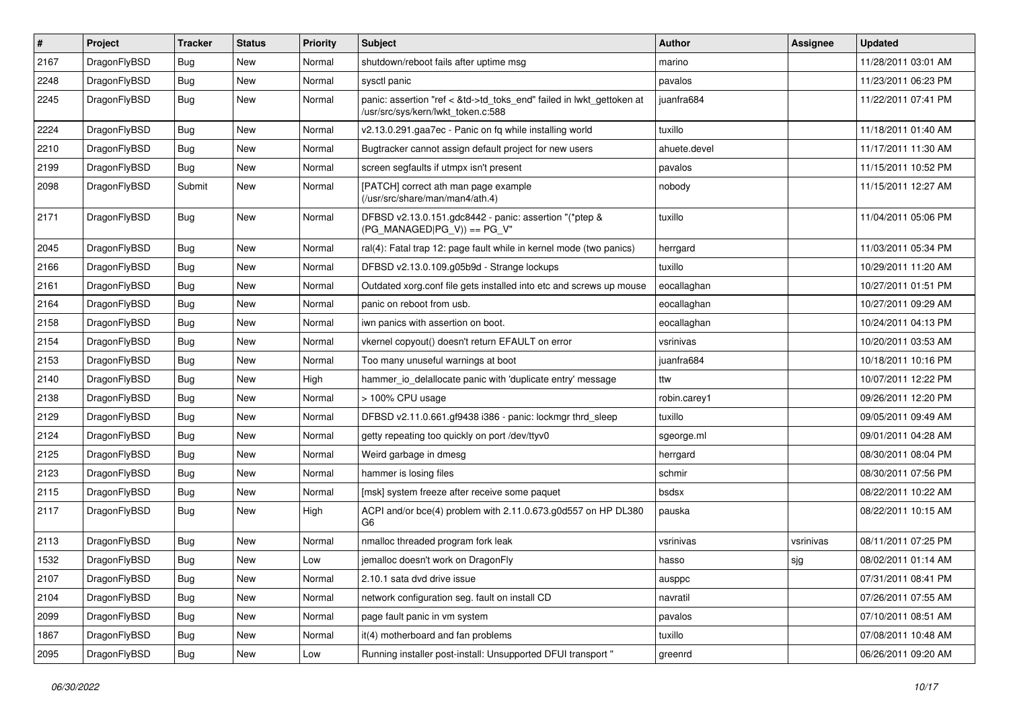| $\vert$ # | Project      | <b>Tracker</b> | <b>Status</b> | <b>Priority</b> | <b>Subject</b>                                                                                             | <b>Author</b> | Assignee  | <b>Updated</b>      |
|-----------|--------------|----------------|---------------|-----------------|------------------------------------------------------------------------------------------------------------|---------------|-----------|---------------------|
| 2167      | DragonFlyBSD | Bug            | <b>New</b>    | Normal          | shutdown/reboot fails after uptime msg                                                                     | marino        |           | 11/28/2011 03:01 AM |
| 2248      | DragonFlyBSD | <b>Bug</b>     | <b>New</b>    | Normal          | sysctl panic                                                                                               | pavalos       |           | 11/23/2011 06:23 PM |
| 2245      | DragonFlyBSD | Bug            | <b>New</b>    | Normal          | panic: assertion "ref < &td->td_toks_end" failed in lwkt_gettoken at<br>/usr/src/sys/kern/lwkt_token.c:588 | juanfra684    |           | 11/22/2011 07:41 PM |
| 2224      | DragonFlyBSD | Bug            | <b>New</b>    | Normal          | v2.13.0.291.gaa7ec - Panic on fq while installing world                                                    | tuxillo       |           | 11/18/2011 01:40 AM |
| 2210      | DragonFlyBSD | <b>Bug</b>     | New           | Normal          | Bugtracker cannot assign default project for new users                                                     | ahuete.devel  |           | 11/17/2011 11:30 AM |
| 2199      | DragonFlyBSD | Bug            | <b>New</b>    | Normal          | screen segfaults if utmpx isn't present                                                                    | pavalos       |           | 11/15/2011 10:52 PM |
| 2098      | DragonFlyBSD | Submit         | New           | Normal          | [PATCH] correct ath man page example<br>(/usr/src/share/man/man4/ath.4)                                    | nobody        |           | 11/15/2011 12:27 AM |
| 2171      | DragonFlyBSD | <b>Bug</b>     | New           | Normal          | DFBSD v2.13.0.151.gdc8442 - panic: assertion "(*ptep &<br>$(PG_MANAGED PG_V)$ == PG_V"                     | tuxillo       |           | 11/04/2011 05:06 PM |
| 2045      | DragonFlyBSD | <b>Bug</b>     | <b>New</b>    | Normal          | ral(4): Fatal trap 12: page fault while in kernel mode (two panics)                                        | herrgard      |           | 11/03/2011 05:34 PM |
| 2166      | DragonFlyBSD | <b>Bug</b>     | <b>New</b>    | Normal          | DFBSD v2.13.0.109.g05b9d - Strange lockups                                                                 | tuxillo       |           | 10/29/2011 11:20 AM |
| 2161      | DragonFlyBSD | <b>Bug</b>     | New           | Normal          | Outdated xorg.conf file gets installed into etc and screws up mouse                                        | eocallaghan   |           | 10/27/2011 01:51 PM |
| 2164      | DragonFlyBSD | Bug            | <b>New</b>    | Normal          | panic on reboot from usb.                                                                                  | eocallaghan   |           | 10/27/2011 09:29 AM |
| 2158      | DragonFlyBSD | <b>Bug</b>     | <b>New</b>    | Normal          | iwn panics with assertion on boot.                                                                         | eocallaghan   |           | 10/24/2011 04:13 PM |
| 2154      | DragonFlyBSD | <b>Bug</b>     | <b>New</b>    | Normal          | vkernel copyout() doesn't return EFAULT on error                                                           | vsrinivas     |           | 10/20/2011 03:53 AM |
| 2153      | DragonFlyBSD | Bug            | <b>New</b>    | Normal          | Too many unuseful warnings at boot                                                                         | juanfra684    |           | 10/18/2011 10:16 PM |
| 2140      | DragonFlyBSD | <b>Bug</b>     | <b>New</b>    | High            | hammer io delallocate panic with 'duplicate entry' message                                                 | ttw           |           | 10/07/2011 12:22 PM |
| 2138      | DragonFlyBSD | Bug            | <b>New</b>    | Normal          | > 100% CPU usage                                                                                           | robin.carey1  |           | 09/26/2011 12:20 PM |
| 2129      | DragonFlyBSD | <b>Bug</b>     | <b>New</b>    | Normal          | DFBSD v2.11.0.661.gf9438 i386 - panic: lockmgr thrd_sleep                                                  | tuxillo       |           | 09/05/2011 09:49 AM |
| 2124      | DragonFlyBSD | <b>Bug</b>     | <b>New</b>    | Normal          | getty repeating too quickly on port /dev/ttyv0                                                             | sgeorge.ml    |           | 09/01/2011 04:28 AM |
| 2125      | DragonFlyBSD | <b>Bug</b>     | <b>New</b>    | Normal          | Weird garbage in dmesg                                                                                     | herrgard      |           | 08/30/2011 08:04 PM |
| 2123      | DragonFlyBSD | <b>Bug</b>     | <b>New</b>    | Normal          | hammer is losing files                                                                                     | schmir        |           | 08/30/2011 07:56 PM |
| 2115      | DragonFlyBSD | Bug            | <b>New</b>    | Normal          | [msk] system freeze after receive some paquet                                                              | bsdsx         |           | 08/22/2011 10:22 AM |
| 2117      | DragonFlyBSD | Bug            | <b>New</b>    | High            | ACPI and/or bce(4) problem with 2.11.0.673.g0d557 on HP DL380<br>G <sub>6</sub>                            | pauska        |           | 08/22/2011 10:15 AM |
| 2113      | DragonFlyBSD | Bug            | <b>New</b>    | Normal          | nmalloc threaded program fork leak                                                                         | vsrinivas     | vsrinivas | 08/11/2011 07:25 PM |
| 1532      | DragonFlyBSD | <b>Bug</b>     | New           | Low             | jemalloc doesn't work on DragonFly                                                                         | hasso         | sjg       | 08/02/2011 01:14 AM |
| 2107      | DragonFlyBSD | <b>Bug</b>     | New           | Normal          | 2.10.1 sata dvd drive issue                                                                                | ausppc        |           | 07/31/2011 08:41 PM |
| 2104      | DragonFlyBSD | <b>Bug</b>     | New           | Normal          | network configuration seg. fault on install CD                                                             | navratil      |           | 07/26/2011 07:55 AM |
| 2099      | DragonFlyBSD | <b>Bug</b>     | New           | Normal          | page fault panic in vm system                                                                              | pavalos       |           | 07/10/2011 08:51 AM |
| 1867      | DragonFlyBSD | <b>Bug</b>     | New           | Normal          | it(4) motherboard and fan problems                                                                         | tuxillo       |           | 07/08/2011 10:48 AM |
| 2095      | DragonFlyBSD | <b>Bug</b>     | New           | Low             | Running installer post-install: Unsupported DFUI transport "                                               | greenrd       |           | 06/26/2011 09:20 AM |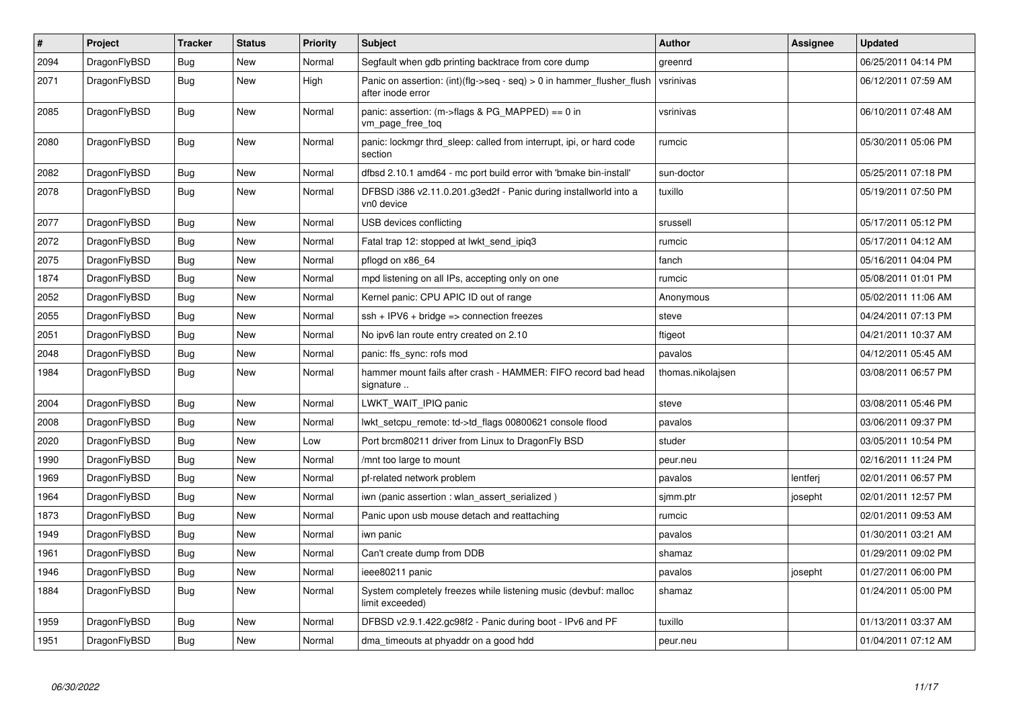| $\vert$ # | Project      | <b>Tracker</b> | <b>Status</b> | <b>Priority</b> | <b>Subject</b>                                                                             | <b>Author</b>     | Assignee | Updated             |
|-----------|--------------|----------------|---------------|-----------------|--------------------------------------------------------------------------------------------|-------------------|----------|---------------------|
| 2094      | DragonFlyBSD | Bug            | New           | Normal          | Segfault when gdb printing backtrace from core dump                                        | greenrd           |          | 06/25/2011 04:14 PM |
| 2071      | DragonFlyBSD | Bug            | <b>New</b>    | High            | Panic on assertion: (int)(flg->seq - seq) > 0 in hammer flusher flush<br>after inode error | vsrinivas         |          | 06/12/2011 07:59 AM |
| 2085      | DragonFlyBSD | <b>Bug</b>     | New           | Normal          | panic: assertion: (m->flags & PG_MAPPED) == 0 in<br>vm_page_free_toq                       | vsrinivas         |          | 06/10/2011 07:48 AM |
| 2080      | DragonFlyBSD | <b>Bug</b>     | <b>New</b>    | Normal          | panic: lockmgr thrd sleep: called from interrupt, ipi, or hard code<br>section             | rumcic            |          | 05/30/2011 05:06 PM |
| 2082      | DragonFlyBSD | <b>Bug</b>     | <b>New</b>    | Normal          | dfbsd 2.10.1 amd64 - mc port build error with 'bmake bin-install'                          | sun-doctor        |          | 05/25/2011 07:18 PM |
| 2078      | DragonFlyBSD | Bug            | <b>New</b>    | Normal          | DFBSD i386 v2.11.0.201.g3ed2f - Panic during installworld into a<br>vn0 device             | tuxillo           |          | 05/19/2011 07:50 PM |
| 2077      | DragonFlyBSD | <b>Bug</b>     | <b>New</b>    | Normal          | USB devices conflicting                                                                    | srussell          |          | 05/17/2011 05:12 PM |
| 2072      | DragonFlyBSD | <b>Bug</b>     | <b>New</b>    | Normal          | Fatal trap 12: stopped at lwkt_send_ipiq3                                                  | rumcic            |          | 05/17/2011 04:12 AM |
| 2075      | DragonFlyBSD | Bug            | <b>New</b>    | Normal          | pflogd on x86 64                                                                           | fanch             |          | 05/16/2011 04:04 PM |
| 1874      | DragonFlyBSD | <b>Bug</b>     | <b>New</b>    | Normal          | mpd listening on all IPs, accepting only on one                                            | rumcic            |          | 05/08/2011 01:01 PM |
| 2052      | DragonFlyBSD | Bug            | <b>New</b>    | Normal          | Kernel panic: CPU APIC ID out of range                                                     | Anonymous         |          | 05/02/2011 11:06 AM |
| 2055      | DragonFlyBSD | <b>Bug</b>     | New           | Normal          | $ssh + IPV6 + bridge \Rightarrow$ connection freezes                                       | steve             |          | 04/24/2011 07:13 PM |
| 2051      | DragonFlyBSD | Bug            | New           | Normal          | No ipv6 lan route entry created on 2.10                                                    | ftigeot           |          | 04/21/2011 10:37 AM |
| 2048      | DragonFlyBSD | <b>Bug</b>     | New           | Normal          | panic: ffs sync: rofs mod                                                                  | pavalos           |          | 04/12/2011 05:45 AM |
| 1984      | DragonFlyBSD | Bug            | New           | Normal          | hammer mount fails after crash - HAMMER: FIFO record bad head<br>signature                 | thomas.nikolajsen |          | 03/08/2011 06:57 PM |
| 2004      | DragonFlyBSD | Bug            | New           | Normal          | LWKT_WAIT_IPIQ panic                                                                       | steve             |          | 03/08/2011 05:46 PM |
| 2008      | DragonFlyBSD | <b>Bug</b>     | New           | Normal          | lwkt_setcpu_remote: td->td_flags 00800621 console flood                                    | pavalos           |          | 03/06/2011 09:37 PM |
| 2020      | DragonFlyBSD | Bug            | New           | Low             | Port brcm80211 driver from Linux to DragonFly BSD                                          | studer            |          | 03/05/2011 10:54 PM |
| 1990      | DragonFlyBSD | <b>Bug</b>     | <b>New</b>    | Normal          | mnt too large to mount                                                                     | peur.neu          |          | 02/16/2011 11:24 PM |
| 1969      | DragonFlyBSD | <b>Bug</b>     | <b>New</b>    | Normal          | pf-related network problem                                                                 | pavalos           | lentferj | 02/01/2011 06:57 PM |
| 1964      | DragonFlyBSD | Bug            | <b>New</b>    | Normal          | iwn (panic assertion : wlan assert serialized)                                             | sjmm.ptr          | josepht  | 02/01/2011 12:57 PM |
| 1873      | DragonFlyBSD | <b>Bug</b>     | New           | Normal          | Panic upon usb mouse detach and reattaching                                                | rumcic            |          | 02/01/2011 09:53 AM |
| 1949      | DragonFlyBSD | <b>Bug</b>     | <b>New</b>    | Normal          | iwn panic                                                                                  | pavalos           |          | 01/30/2011 03:21 AM |
| 1961      | DragonFlyBSD | <b>Bug</b>     | <b>New</b>    | Normal          | Can't create dump from DDB                                                                 | shamaz            |          | 01/29/2011 09:02 PM |
| 1946      | DragonFlyBSD | Bug            | New           | Normal          | ieee80211 panic                                                                            | pavalos           | josepht  | 01/27/2011 06:00 PM |
| 1884      | DragonFlyBSD | <b>Bug</b>     | New           | Normal          | System completely freezes while listening music (devbuf: malloc<br>limit exceeded)         | shamaz            |          | 01/24/2011 05:00 PM |
| 1959      | DragonFlyBSD | Bug            | <b>New</b>    | Normal          | DFBSD v2.9.1.422.gc98f2 - Panic during boot - IPv6 and PF                                  | tuxillo           |          | 01/13/2011 03:37 AM |
| 1951      | DragonFlyBSD | Bug            | <b>New</b>    | Normal          | dma timeouts at phyaddr on a good hdd                                                      | peur.neu          |          | 01/04/2011 07:12 AM |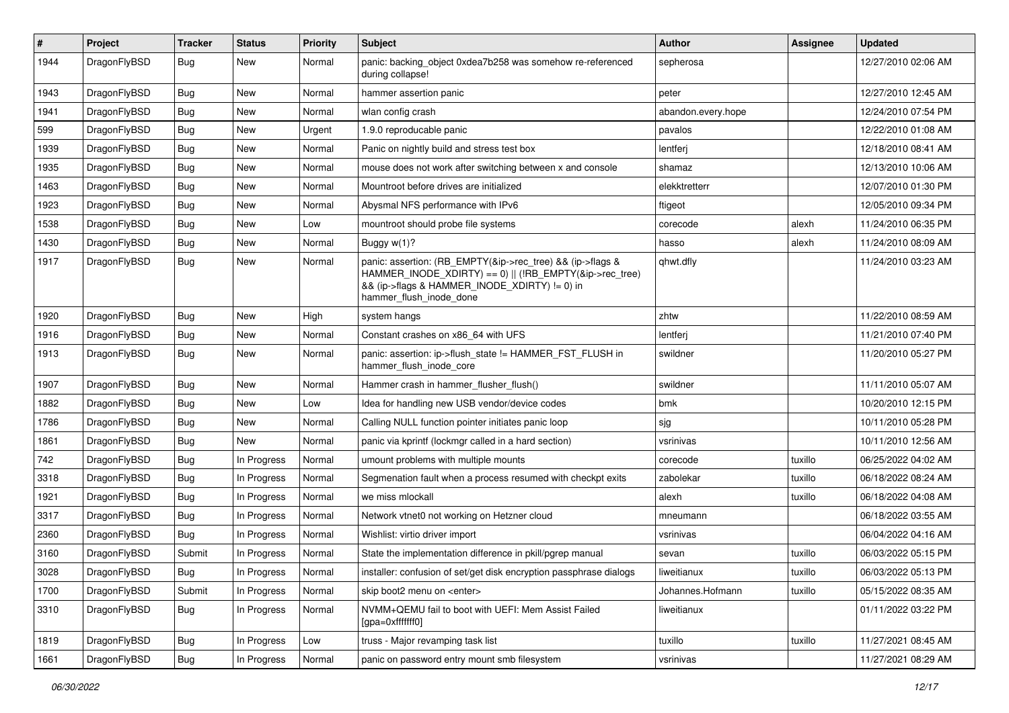| $\pmb{\#}$ | Project      | <b>Tracker</b> | <b>Status</b> | <b>Priority</b> | Subject                                                                                                                                                                                           | Author             | Assignee | <b>Updated</b>      |
|------------|--------------|----------------|---------------|-----------------|---------------------------------------------------------------------------------------------------------------------------------------------------------------------------------------------------|--------------------|----------|---------------------|
| 1944       | DragonFlyBSD | Bug            | New           | Normal          | panic: backing object 0xdea7b258 was somehow re-referenced<br>during collapse!                                                                                                                    | sepherosa          |          | 12/27/2010 02:06 AM |
| 1943       | DragonFlyBSD | <b>Bug</b>     | <b>New</b>    | Normal          | hammer assertion panic                                                                                                                                                                            | peter              |          | 12/27/2010 12:45 AM |
| 1941       | DragonFlyBSD | Bug            | New           | Normal          | wlan config crash                                                                                                                                                                                 | abandon.every.hope |          | 12/24/2010 07:54 PM |
| 599        | DragonFlyBSD | <b>Bug</b>     | <b>New</b>    | Urgent          | 1.9.0 reproducable panic                                                                                                                                                                          | pavalos            |          | 12/22/2010 01:08 AM |
| 1939       | DragonFlyBSD | <b>Bug</b>     | <b>New</b>    | Normal          | Panic on nightly build and stress test box                                                                                                                                                        | lentferj           |          | 12/18/2010 08:41 AM |
| 1935       | DragonFlyBSD | <b>Bug</b>     | <b>New</b>    | Normal          | mouse does not work after switching between x and console                                                                                                                                         | shamaz             |          | 12/13/2010 10:06 AM |
| 1463       | DragonFlyBSD | <b>Bug</b>     | <b>New</b>    | Normal          | Mountroot before drives are initialized                                                                                                                                                           | elekktretterr      |          | 12/07/2010 01:30 PM |
| 1923       | DragonFlyBSD | Bug            | <b>New</b>    | Normal          | Abysmal NFS performance with IPv6                                                                                                                                                                 | ftigeot            |          | 12/05/2010 09:34 PM |
| 1538       | DragonFlyBSD | <b>Bug</b>     | <b>New</b>    | Low             | mountroot should probe file systems                                                                                                                                                               | corecode           | alexh    | 11/24/2010 06:35 PM |
| 1430       | DragonFlyBSD | Bug            | <b>New</b>    | Normal          | Buggy w(1)?                                                                                                                                                                                       | hasso              | alexh    | 11/24/2010 08:09 AM |
| 1917       | DragonFlyBSD | Bug            | <b>New</b>    | Normal          | panic: assertion: (RB_EMPTY(&ip->rec_tree) && (ip->flags &<br>HAMMER_INODE_XDIRTY) == 0)    (!RB_EMPTY(&ip->rec_tree)<br>&& (ip->flags & HAMMER_INODE_XDIRTY) != 0) in<br>hammer_flush_inode_done | qhwt.dfly          |          | 11/24/2010 03:23 AM |
| 1920       | DragonFlyBSD | <b>Bug</b>     | <b>New</b>    | High            | system hangs                                                                                                                                                                                      | zhtw               |          | 11/22/2010 08:59 AM |
| 1916       | DragonFlyBSD | <b>Bug</b>     | <b>New</b>    | Normal          | Constant crashes on x86_64 with UFS                                                                                                                                                               | lentferj           |          | 11/21/2010 07:40 PM |
| 1913       | DragonFlyBSD | Bug            | New           | Normal          | panic: assertion: ip->flush state != HAMMER FST FLUSH in<br>hammer_flush_inode_core                                                                                                               | swildner           |          | 11/20/2010 05:27 PM |
| 1907       | DragonFlyBSD | Bug            | <b>New</b>    | Normal          | Hammer crash in hammer flusher flush()                                                                                                                                                            | swildner           |          | 11/11/2010 05:07 AM |
| 1882       | DragonFlyBSD | <b>Bug</b>     | <b>New</b>    | Low             | Idea for handling new USB vendor/device codes                                                                                                                                                     | bmk                |          | 10/20/2010 12:15 PM |
| 1786       | DragonFlyBSD | <b>Bug</b>     | New           | Normal          | Calling NULL function pointer initiates panic loop                                                                                                                                                | sjg                |          | 10/11/2010 05:28 PM |
| 1861       | DragonFlyBSD | Bug            | <b>New</b>    | Normal          | panic via kprintf (lockmgr called in a hard section)                                                                                                                                              | vsrinivas          |          | 10/11/2010 12:56 AM |
| 742        | DragonFlyBSD | <b>Bug</b>     | In Progress   | Normal          | umount problems with multiple mounts                                                                                                                                                              | corecode           | tuxillo  | 06/25/2022 04:02 AM |
| 3318       | DragonFlyBSD | <b>Bug</b>     | In Progress   | Normal          | Segmenation fault when a process resumed with checkpt exits                                                                                                                                       | zabolekar          | tuxillo  | 06/18/2022 08:24 AM |
| 1921       | DragonFlyBSD | <b>Bug</b>     | In Progress   | Normal          | we miss mlockall                                                                                                                                                                                  | alexh              | tuxillo  | 06/18/2022 04:08 AM |
| 3317       | DragonFlyBSD | Bug            | In Progress   | Normal          | Network vtnet0 not working on Hetzner cloud                                                                                                                                                       | mneumann           |          | 06/18/2022 03:55 AM |
| 2360       | DragonFlyBSD | Bug            | In Progress   | Normal          | Wishlist: virtio driver import                                                                                                                                                                    | vsrinivas          |          | 06/04/2022 04:16 AM |
| 3160       | DragonFlyBSD | Submit         | In Progress   | Normal          | State the implementation difference in pkill/pgrep manual                                                                                                                                         | sevan              | tuxillo  | 06/03/2022 05:15 PM |
| 3028       | DragonFlyBSD | Bug            | In Progress   | Normal          | installer: confusion of set/get disk encryption passphrase dialogs                                                                                                                                | liweitianux        | tuxillo  | 06/03/2022 05:13 PM |
| 1700       | DragonFlyBSD | Submit         | In Progress   | Normal          | skip boot2 menu on <enter></enter>                                                                                                                                                                | Johannes.Hofmann   | tuxillo  | 05/15/2022 08:35 AM |
| 3310       | DragonFlyBSD | <b>Bug</b>     | In Progress   | Normal          | NVMM+QEMU fail to boot with UEFI: Mem Assist Failed<br>[gpa=0xfffffff0]                                                                                                                           | liweitianux        |          | 01/11/2022 03:22 PM |
| 1819       | DragonFlyBSD | <b>Bug</b>     | In Progress   | Low             | truss - Major revamping task list                                                                                                                                                                 | tuxillo            | tuxillo  | 11/27/2021 08:45 AM |
| 1661       | DragonFlyBSD | <b>Bug</b>     | In Progress   | Normal          | panic on password entry mount smb filesystem                                                                                                                                                      | vsrinivas          |          | 11/27/2021 08:29 AM |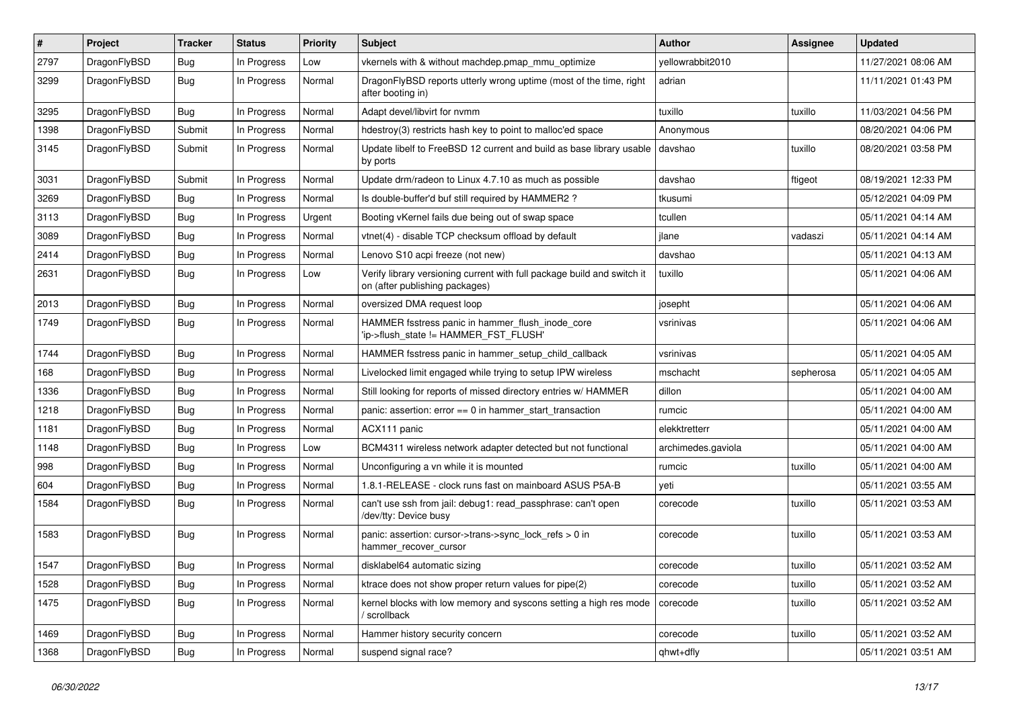| #    | Project      | <b>Tracker</b> | <b>Status</b> | <b>Priority</b> | Subject                                                                                                   | <b>Author</b>      | <b>Assignee</b> | <b>Updated</b>      |
|------|--------------|----------------|---------------|-----------------|-----------------------------------------------------------------------------------------------------------|--------------------|-----------------|---------------------|
| 2797 | DragonFlyBSD | <b>Bug</b>     | In Progress   | Low             | vkernels with & without machdep.pmap_mmu_optimize                                                         | yellowrabbit2010   |                 | 11/27/2021 08:06 AM |
| 3299 | DragonFlyBSD | <b>Bug</b>     | In Progress   | Normal          | DragonFlyBSD reports utterly wrong uptime (most of the time, right<br>after booting in)                   | adrian             |                 | 11/11/2021 01:43 PM |
| 3295 | DragonFlyBSD | <b>Bug</b>     | In Progress   | Normal          | Adapt devel/libvirt for nvmm                                                                              | tuxillo            | tuxillo         | 11/03/2021 04:56 PM |
| 1398 | DragonFlyBSD | Submit         | In Progress   | Normal          | hdestroy(3) restricts hash key to point to malloc'ed space                                                | Anonymous          |                 | 08/20/2021 04:06 PM |
| 3145 | DragonFlyBSD | Submit         | In Progress   | Normal          | Update libelf to FreeBSD 12 current and build as base library usable<br>by ports                          | davshao            | tuxillo         | 08/20/2021 03:58 PM |
| 3031 | DragonFlyBSD | Submit         | In Progress   | Normal          | Update drm/radeon to Linux 4.7.10 as much as possible                                                     | davshao            | ftigeot         | 08/19/2021 12:33 PM |
| 3269 | DragonFlyBSD | <b>Bug</b>     | In Progress   | Normal          | Is double-buffer'd buf still required by HAMMER2?                                                         | tkusumi            |                 | 05/12/2021 04:09 PM |
| 3113 | DragonFlyBSD | <b>Bug</b>     | In Progress   | Urgent          | Booting vKernel fails due being out of swap space                                                         | tcullen            |                 | 05/11/2021 04:14 AM |
| 3089 | DragonFlyBSD | <b>Bug</b>     | In Progress   | Normal          | vtnet(4) - disable TCP checksum offload by default                                                        | jlane              | vadaszi         | 05/11/2021 04:14 AM |
| 2414 | DragonFlyBSD | <b>Bug</b>     | In Progress   | Normal          | Lenovo S10 acpi freeze (not new)                                                                          | davshao            |                 | 05/11/2021 04:13 AM |
| 2631 | DragonFlyBSD | <b>Bug</b>     | In Progress   | Low             | Verify library versioning current with full package build and switch it<br>on (after publishing packages) | tuxillo            |                 | 05/11/2021 04:06 AM |
| 2013 | DragonFlyBSD | <b>Bug</b>     | In Progress   | Normal          | oversized DMA request loop                                                                                | josepht            |                 | 05/11/2021 04:06 AM |
| 1749 | DragonFlyBSD | <b>Bug</b>     | In Progress   | Normal          | HAMMER fsstress panic in hammer_flush_inode_core<br>'ip->flush state != HAMMER FST FLUSH'                 | vsrinivas          |                 | 05/11/2021 04:06 AM |
| 1744 | DragonFlyBSD | <b>Bug</b>     | In Progress   | Normal          | HAMMER fsstress panic in hammer_setup_child_callback                                                      | vsrinivas          |                 | 05/11/2021 04:05 AM |
| 168  | DragonFlyBSD | <b>Bug</b>     | In Progress   | Normal          | Livelocked limit engaged while trying to setup IPW wireless                                               | mschacht           | sepherosa       | 05/11/2021 04:05 AM |
| 1336 | DragonFlyBSD | <b>Bug</b>     | In Progress   | Normal          | Still looking for reports of missed directory entries w/ HAMMER                                           | dillon             |                 | 05/11/2021 04:00 AM |
| 1218 | DragonFlyBSD | <b>Bug</b>     | In Progress   | Normal          | panic: assertion: $error == 0$ in hammer start transaction                                                | rumcic             |                 | 05/11/2021 04:00 AM |
| 1181 | DragonFlyBSD | <b>Bug</b>     | In Progress   | Normal          | ACX111 panic                                                                                              | elekktretterr      |                 | 05/11/2021 04:00 AM |
| 1148 | DragonFlyBSD | <b>Bug</b>     | In Progress   | Low             | BCM4311 wireless network adapter detected but not functional                                              | archimedes.gaviola |                 | 05/11/2021 04:00 AM |
| 998  | DragonFlyBSD | <b>Bug</b>     | In Progress   | Normal          | Unconfiguring a vn while it is mounted                                                                    | rumcic             | tuxillo         | 05/11/2021 04:00 AM |
| 604  | DragonFlyBSD | <b>Bug</b>     | In Progress   | Normal          | 1.8.1-RELEASE - clock runs fast on mainboard ASUS P5A-B                                                   | yeti               |                 | 05/11/2021 03:55 AM |
| 1584 | DragonFlyBSD | <b>Bug</b>     | In Progress   | Normal          | can't use ssh from jail: debug1: read_passphrase: can't open<br>/dev/tty: Device busy                     | corecode           | tuxillo         | 05/11/2021 03:53 AM |
| 1583 | DragonFlyBSD | <b>Bug</b>     | In Progress   | Normal          | panic: assertion: cursor->trans->sync_lock_refs > 0 in<br>hammer_recover_cursor                           | corecode           | tuxillo         | 05/11/2021 03:53 AM |
| 1547 | DragonFlyBSD | <b>Bug</b>     | In Progress   | Normal          | disklabel64 automatic sizing                                                                              | corecode           | tuxillo         | 05/11/2021 03:52 AM |
| 1528 | DragonFlyBSD | <b>Bug</b>     | In Progress   | Normal          | ktrace does not show proper return values for pipe(2)                                                     | corecode           | tuxillo         | 05/11/2021 03:52 AM |
| 1475 | DragonFlyBSD | <b>Bug</b>     | In Progress   | Normal          | kernel blocks with low memory and syscons setting a high res mode<br>/ scrollback                         | corecode           | tuxillo         | 05/11/2021 03:52 AM |
| 1469 | DragonFlyBSD | <b>Bug</b>     | In Progress   | Normal          | Hammer history security concern                                                                           | corecode           | tuxillo         | 05/11/2021 03:52 AM |
| 1368 | DragonFlyBSD | <b>Bug</b>     | In Progress   | Normal          | suspend signal race?                                                                                      | qhwt+dfly          |                 | 05/11/2021 03:51 AM |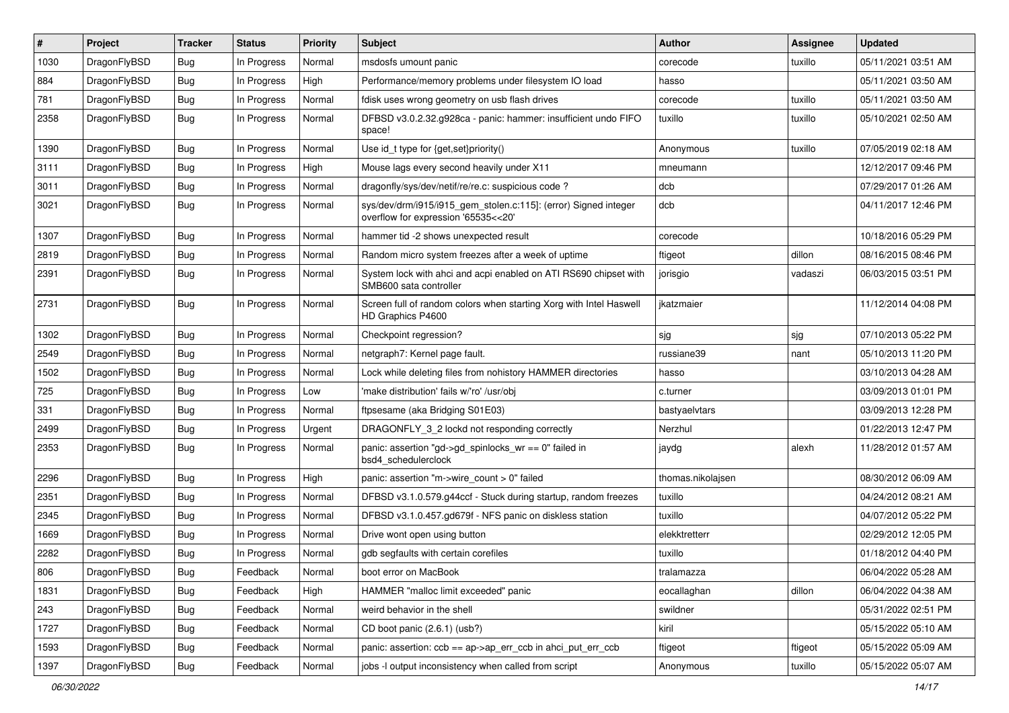| #    | Project      | <b>Tracker</b> | <b>Status</b> | <b>Priority</b> | Subject                                                                                                | <b>Author</b>     | Assignee | <b>Updated</b>      |
|------|--------------|----------------|---------------|-----------------|--------------------------------------------------------------------------------------------------------|-------------------|----------|---------------------|
| 1030 | DragonFlyBSD | <b>Bug</b>     | In Progress   | Normal          | msdosfs umount panic                                                                                   | corecode          | tuxillo  | 05/11/2021 03:51 AM |
| 884  | DragonFlyBSD | Bug            | In Progress   | High            | Performance/memory problems under filesystem IO load                                                   | hasso             |          | 05/11/2021 03:50 AM |
| 781  | DragonFlyBSD | Bug            | In Progress   | Normal          | fdisk uses wrong geometry on usb flash drives                                                          | corecode          | tuxillo  | 05/11/2021 03:50 AM |
| 2358 | DragonFlyBSD | <b>Bug</b>     | In Progress   | Normal          | DFBSD v3.0.2.32.g928ca - panic: hammer: insufficient undo FIFO<br>space!                               | tuxillo           | tuxillo  | 05/10/2021 02:50 AM |
| 1390 | DragonFlyBSD | <b>Bug</b>     | In Progress   | Normal          | Use id_t type for {get,set}priority()                                                                  | Anonymous         | tuxillo  | 07/05/2019 02:18 AM |
| 3111 | DragonFlyBSD | <b>Bug</b>     | In Progress   | High            | Mouse lags every second heavily under X11                                                              | mneumann          |          | 12/12/2017 09:46 PM |
| 3011 | DragonFlyBSD | <b>Bug</b>     | In Progress   | Normal          | dragonfly/sys/dev/netif/re/re.c: suspicious code?                                                      | dcb               |          | 07/29/2017 01:26 AM |
| 3021 | DragonFlyBSD | <b>Bug</b>     | In Progress   | Normal          | sys/dev/drm/i915/i915_gem_stolen.c:115]: (error) Signed integer<br>overflow for expression '65535<<20' | dcb               |          | 04/11/2017 12:46 PM |
| 1307 | DragonFlyBSD | <b>Bug</b>     | In Progress   | Normal          | hammer tid -2 shows unexpected result                                                                  | corecode          |          | 10/18/2016 05:29 PM |
| 2819 | DragonFlyBSD | Bug            | In Progress   | Normal          | Random micro system freezes after a week of uptime                                                     | ftigeot           | dillon   | 08/16/2015 08:46 PM |
| 2391 | DragonFlyBSD | Bug            | In Progress   | Normal          | System lock with ahci and acpi enabled on ATI RS690 chipset with<br>SMB600 sata controller             | jorisgio          | vadaszi  | 06/03/2015 03:51 PM |
| 2731 | DragonFlyBSD | Bug            | In Progress   | Normal          | Screen full of random colors when starting Xorg with Intel Haswell<br>HD Graphics P4600                | jkatzmaier        |          | 11/12/2014 04:08 PM |
| 1302 | DragonFlyBSD | Bug            | In Progress   | Normal          | Checkpoint regression?                                                                                 | sjg               | sjg      | 07/10/2013 05:22 PM |
| 2549 | DragonFlyBSD | <b>Bug</b>     | In Progress   | Normal          | netgraph7: Kernel page fault.                                                                          | russiane39        | nant     | 05/10/2013 11:20 PM |
| 1502 | DragonFlyBSD | Bug            | In Progress   | Normal          | Lock while deleting files from nohistory HAMMER directories                                            | hasso             |          | 03/10/2013 04:28 AM |
| 725  | DragonFlyBSD | <b>Bug</b>     | In Progress   | Low             | 'make distribution' fails w/'ro' /usr/obj                                                              | c.turner          |          | 03/09/2013 01:01 PM |
| 331  | DragonFlyBSD | <b>Bug</b>     | In Progress   | Normal          | ftpsesame (aka Bridging S01E03)                                                                        | bastyaelvtars     |          | 03/09/2013 12:28 PM |
| 2499 | DragonFlyBSD | Bug            | In Progress   | Urgent          | DRAGONFLY 3 2 lockd not responding correctly                                                           | Nerzhul           |          | 01/22/2013 12:47 PM |
| 2353 | DragonFlyBSD | <b>Bug</b>     | In Progress   | Normal          | panic: assertion "gd->gd_spinlocks_wr == 0" failed in<br>bsd4_schedulerclock                           | jaydg             | alexh    | 11/28/2012 01:57 AM |
| 2296 | DragonFlyBSD | <b>Bug</b>     | In Progress   | High            | panic: assertion "m->wire count > 0" failed                                                            | thomas.nikolajsen |          | 08/30/2012 06:09 AM |
| 2351 | DragonFlyBSD | <b>Bug</b>     | In Progress   | Normal          | DFBSD v3.1.0.579.g44ccf - Stuck during startup, random freezes                                         | tuxillo           |          | 04/24/2012 08:21 AM |
| 2345 | DragonFlyBSD | Bug            | In Progress   | Normal          | DFBSD v3.1.0.457.gd679f - NFS panic on diskless station                                                | tuxillo           |          | 04/07/2012 05:22 PM |
| 1669 | DragonFlyBSD | <b>Bug</b>     | In Progress   | Normal          | Drive wont open using button                                                                           | elekktretterr     |          | 02/29/2012 12:05 PM |
| 2282 | DragonFlyBSD | <b>Bug</b>     | In Progress   | Normal          | gdb segfaults with certain corefiles                                                                   | tuxillo           |          | 01/18/2012 04:40 PM |
| 806  | DragonFlyBSD | <b>Bug</b>     | Feedback      | Normal          | boot error on MacBook                                                                                  | tralamazza        |          | 06/04/2022 05:28 AM |
| 1831 | DragonFlyBSD | <b>Bug</b>     | Feedback      | High            | HAMMER "malloc limit exceeded" panic                                                                   | eocallaghan       | dillon   | 06/04/2022 04:38 AM |
| 243  | DragonFlyBSD | <b>Bug</b>     | Feedback      | Normal          | weird behavior in the shell                                                                            | swildner          |          | 05/31/2022 02:51 PM |
| 1727 | DragonFlyBSD | <b>Bug</b>     | Feedback      | Normal          | CD boot panic (2.6.1) (usb?)                                                                           | kiril             |          | 05/15/2022 05:10 AM |
| 1593 | DragonFlyBSD | <b>Bug</b>     | Feedback      | Normal          | panic: assertion: $ccb = ap$ ->ap err $ccb$ in ahci put err $ccb$                                      | ftigeot           | ftigeot  | 05/15/2022 05:09 AM |
| 1397 | DragonFlyBSD | <b>Bug</b>     | Feedback      | Normal          | jobs -I output inconsistency when called from script                                                   | Anonymous         | tuxillo  | 05/15/2022 05:07 AM |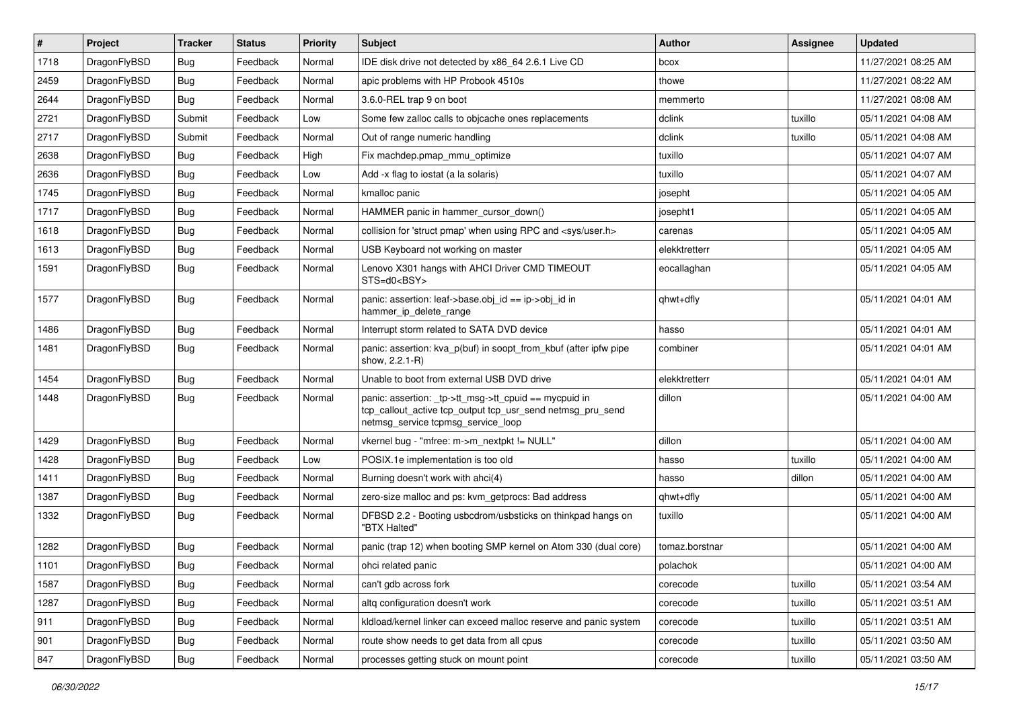| $\vert$ # | Project      | <b>Tracker</b> | <b>Status</b> | Priority | Subject                                                                                                                                                   | <b>Author</b>  | Assignee | <b>Updated</b>      |
|-----------|--------------|----------------|---------------|----------|-----------------------------------------------------------------------------------------------------------------------------------------------------------|----------------|----------|---------------------|
| 1718      | DragonFlyBSD | <b>Bug</b>     | Feedback      | Normal   | IDE disk drive not detected by x86 64 2.6.1 Live CD                                                                                                       | bcox           |          | 11/27/2021 08:25 AM |
| 2459      | DragonFlyBSD | <b>Bug</b>     | Feedback      | Normal   | apic problems with HP Probook 4510s                                                                                                                       | thowe          |          | 11/27/2021 08:22 AM |
| 2644      | DragonFlyBSD | <b>Bug</b>     | Feedback      | Normal   | 3.6.0-REL trap 9 on boot                                                                                                                                  | memmerto       |          | 11/27/2021 08:08 AM |
| 2721      | DragonFlyBSD | Submit         | Feedback      | Low      | Some few zalloc calls to objcache ones replacements                                                                                                       | dclink         | tuxillo  | 05/11/2021 04:08 AM |
| 2717      | DragonFlyBSD | Submit         | Feedback      | Normal   | Out of range numeric handling                                                                                                                             | dclink         | tuxillo  | 05/11/2021 04:08 AM |
| 2638      | DragonFlyBSD | <b>Bug</b>     | Feedback      | High     | Fix machdep.pmap_mmu_optimize                                                                                                                             | tuxillo        |          | 05/11/2021 04:07 AM |
| 2636      | DragonFlyBSD | <b>Bug</b>     | Feedback      | Low      | Add -x flag to iostat (a la solaris)                                                                                                                      | tuxillo        |          | 05/11/2021 04:07 AM |
| 1745      | DragonFlyBSD | <b>Bug</b>     | Feedback      | Normal   | kmalloc panic                                                                                                                                             | josepht        |          | 05/11/2021 04:05 AM |
| 1717      | DragonFlyBSD | <b>Bug</b>     | Feedback      | Normal   | HAMMER panic in hammer cursor down()                                                                                                                      | josepht1       |          | 05/11/2021 04:05 AM |
| 1618      | DragonFlyBSD | <b>Bug</b>     | Feedback      | Normal   | collision for 'struct pmap' when using RPC and <sys user.h=""></sys>                                                                                      | carenas        |          | 05/11/2021 04:05 AM |
| 1613      | DragonFlyBSD | <b>Bug</b>     | Feedback      | Normal   | USB Keyboard not working on master                                                                                                                        | elekktretterr  |          | 05/11/2021 04:05 AM |
| 1591      | DragonFlyBSD | <b>Bug</b>     | Feedback      | Normal   | Lenovo X301 hangs with AHCI Driver CMD TIMEOUT<br>STS=d0 <bsy></bsy>                                                                                      | eocallaghan    |          | 05/11/2021 04:05 AM |
| 1577      | DragonFlyBSD | <b>Bug</b>     | Feedback      | Normal   | panic: assertion: leaf->base.obj_id == ip->obj_id in<br>hammer_ip_delete_range                                                                            | qhwt+dfly      |          | 05/11/2021 04:01 AM |
| 1486      | DragonFlyBSD | Bug            | Feedback      | Normal   | Interrupt storm related to SATA DVD device                                                                                                                | hasso          |          | 05/11/2021 04:01 AM |
| 1481      | DragonFlyBSD | <b>Bug</b>     | Feedback      | Normal   | panic: assertion: kva p(buf) in soopt from kbuf (after ipfw pipe<br>show, 2.2.1-R)                                                                        | combiner       |          | 05/11/2021 04:01 AM |
| 1454      | DragonFlyBSD | Bug            | Feedback      | Normal   | Unable to boot from external USB DVD drive                                                                                                                | elekktretterr  |          | 05/11/2021 04:01 AM |
| 1448      | DragonFlyBSD | <b>Bug</b>     | Feedback      | Normal   | panic: assertion: _tp->tt_msg->tt_cpuid == mycpuid in<br>tcp_callout_active tcp_output tcp_usr_send netmsg_pru_send<br>netmsg service tcpmsg service loop | dillon         |          | 05/11/2021 04:00 AM |
| 1429      | DragonFlyBSD | Bug            | Feedback      | Normal   | vkernel bug - "mfree: m->m_nextpkt != NULL"                                                                                                               | dillon         |          | 05/11/2021 04:00 AM |
| 1428      | DragonFlyBSD | <b>Bug</b>     | Feedback      | Low      | POSIX.1e implementation is too old                                                                                                                        | hasso          | tuxillo  | 05/11/2021 04:00 AM |
| 1411      | DragonFlyBSD | <b>Bug</b>     | Feedback      | Normal   | Burning doesn't work with ahci(4)                                                                                                                         | hasso          | dillon   | 05/11/2021 04:00 AM |
| 1387      | DragonFlyBSD | Bug            | Feedback      | Normal   | zero-size malloc and ps: kvm_getprocs: Bad address                                                                                                        | qhwt+dfly      |          | 05/11/2021 04:00 AM |
| 1332      | DragonFlyBSD | <b>Bug</b>     | Feedback      | Normal   | DFBSD 2.2 - Booting usbcdrom/usbsticks on thinkpad hangs on<br>"BTX Halted"                                                                               | tuxillo        |          | 05/11/2021 04:00 AM |
| 1282      | DragonFlyBSD | Bug            | Feedback      | Normal   | panic (trap 12) when booting SMP kernel on Atom 330 (dual core)                                                                                           | tomaz.borstnar |          | 05/11/2021 04:00 AM |
| 1101      | DragonFlyBSD | Bug            | Feedback      | Normal   | ohci related panic                                                                                                                                        | polachok       |          | 05/11/2021 04:00 AM |
| 1587      | DragonFlyBSD | <b>Bug</b>     | Feedback      | Normal   | can't gdb across fork                                                                                                                                     | corecode       | tuxillo  | 05/11/2021 03:54 AM |
| 1287      | DragonFlyBSD | <b>Bug</b>     | Feedback      | Normal   | altq configuration doesn't work                                                                                                                           | corecode       | tuxillo  | 05/11/2021 03:51 AM |
| 911       | DragonFlyBSD | <b>Bug</b>     | Feedback      | Normal   | kldload/kernel linker can exceed malloc reserve and panic system                                                                                          | corecode       | tuxillo  | 05/11/2021 03:51 AM |
| 901       | DragonFlyBSD | <b>Bug</b>     | Feedback      | Normal   | route show needs to get data from all cpus                                                                                                                | corecode       | tuxillo  | 05/11/2021 03:50 AM |
| 847       | DragonFlyBSD | <b>Bug</b>     | Feedback      | Normal   | processes getting stuck on mount point                                                                                                                    | corecode       | tuxillo  | 05/11/2021 03:50 AM |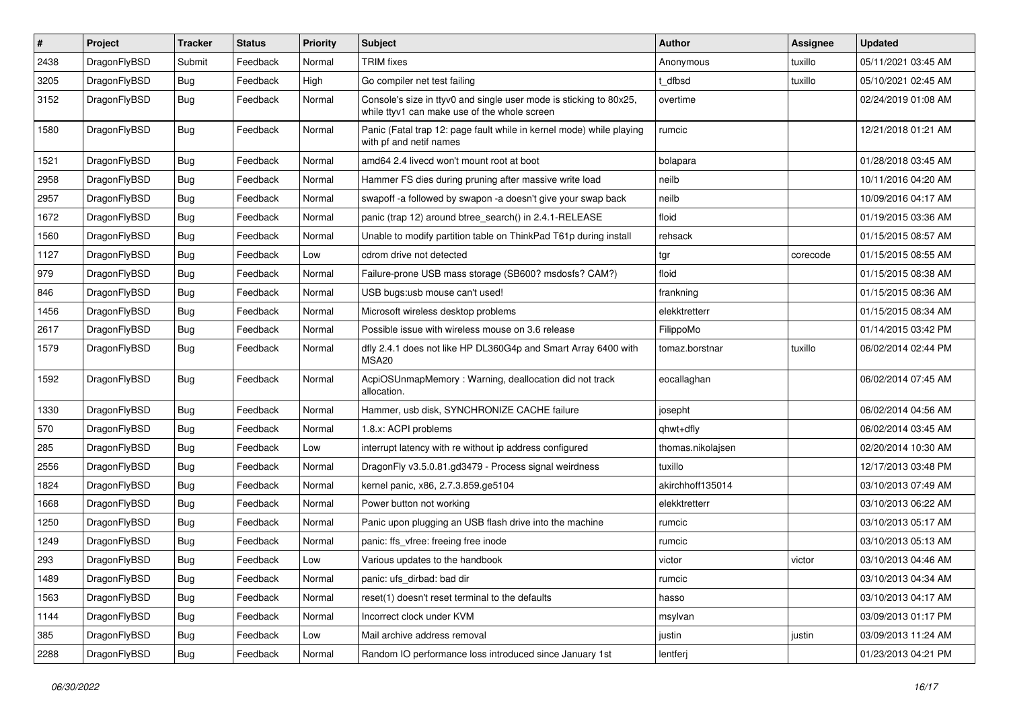| #    | Project      | <b>Tracker</b> | <b>Status</b> | <b>Priority</b> | Subject                                                                                                            | <b>Author</b>     | Assignee | <b>Updated</b>      |
|------|--------------|----------------|---------------|-----------------|--------------------------------------------------------------------------------------------------------------------|-------------------|----------|---------------------|
| 2438 | DragonFlyBSD | Submit         | Feedback      | Normal          | <b>TRIM</b> fixes                                                                                                  | Anonymous         | tuxillo  | 05/11/2021 03:45 AM |
| 3205 | DragonFlyBSD | Bug            | Feedback      | High            | Go compiler net test failing                                                                                       | t dfbsd           | tuxillo  | 05/10/2021 02:45 AM |
| 3152 | DragonFlyBSD | <b>Bug</b>     | Feedback      | Normal          | Console's size in ttyv0 and single user mode is sticking to 80x25,<br>while ttyv1 can make use of the whole screen | overtime          |          | 02/24/2019 01:08 AM |
| 1580 | DragonFlyBSD | <b>Bug</b>     | Feedback      | Normal          | Panic (Fatal trap 12: page fault while in kernel mode) while playing<br>with pf and netif names                    | rumcic            |          | 12/21/2018 01:21 AM |
| 1521 | DragonFlyBSD | Bug            | Feedback      | Normal          | amd64 2.4 livecd won't mount root at boot                                                                          | bolapara          |          | 01/28/2018 03:45 AM |
| 2958 | DragonFlyBSD | <b>Bug</b>     | Feedback      | Normal          | Hammer FS dies during pruning after massive write load                                                             | neilb             |          | 10/11/2016 04:20 AM |
| 2957 | DragonFlyBSD | <b>Bug</b>     | Feedback      | Normal          | swapoff -a followed by swapon -a doesn't give your swap back                                                       | neilb             |          | 10/09/2016 04:17 AM |
| 1672 | DragonFlyBSD | Bug            | Feedback      | Normal          | panic (trap 12) around btree_search() in 2.4.1-RELEASE                                                             | floid             |          | 01/19/2015 03:36 AM |
| 1560 | DragonFlyBSD | <b>Bug</b>     | Feedback      | Normal          | Unable to modify partition table on ThinkPad T61p during install                                                   | rehsack           |          | 01/15/2015 08:57 AM |
| 1127 | DragonFlyBSD | <b>Bug</b>     | Feedback      | Low             | cdrom drive not detected                                                                                           | tgr               | corecode | 01/15/2015 08:55 AM |
| 979  | DragonFlyBSD | Bug            | Feedback      | Normal          | Failure-prone USB mass storage (SB600? msdosfs? CAM?)                                                              | floid             |          | 01/15/2015 08:38 AM |
| 846  | DragonFlyBSD | Bug            | Feedback      | Normal          | USB bugs:usb mouse can't used!                                                                                     | frankning         |          | 01/15/2015 08:36 AM |
| 1456 | DragonFlyBSD | Bug            | Feedback      | Normal          | Microsoft wireless desktop problems                                                                                | elekktretterr     |          | 01/15/2015 08:34 AM |
| 2617 | DragonFlyBSD | Bug            | Feedback      | Normal          | Possible issue with wireless mouse on 3.6 release                                                                  | FilippoMo         |          | 01/14/2015 03:42 PM |
| 1579 | DragonFlyBSD | Bug            | Feedback      | Normal          | dfly 2.4.1 does not like HP DL360G4p and Smart Array 6400 with<br><b>MSA20</b>                                     | tomaz.borstnar    | tuxillo  | 06/02/2014 02:44 PM |
| 1592 | DragonFlyBSD | Bug            | Feedback      | Normal          | AcpiOSUnmapMemory: Warning, deallocation did not track<br>allocation.                                              | eocallaghan       |          | 06/02/2014 07:45 AM |
| 1330 | DragonFlyBSD | Bug            | Feedback      | Normal          | Hammer, usb disk, SYNCHRONIZE CACHE failure                                                                        | josepht           |          | 06/02/2014 04:56 AM |
| 570  | DragonFlyBSD | <b>Bug</b>     | Feedback      | Normal          | 1.8.x: ACPI problems                                                                                               | qhwt+dfly         |          | 06/02/2014 03:45 AM |
| 285  | DragonFlyBSD | Bug            | Feedback      | Low             | interrupt latency with re without ip address configured                                                            | thomas.nikolajsen |          | 02/20/2014 10:30 AM |
| 2556 | DragonFlyBSD | Bug            | Feedback      | Normal          | DragonFly v3.5.0.81.gd3479 - Process signal weirdness                                                              | tuxillo           |          | 12/17/2013 03:48 PM |
| 1824 | DragonFlyBSD | Bug            | Feedback      | Normal          | kernel panic, x86, 2.7.3.859.ge5104                                                                                | akirchhoff135014  |          | 03/10/2013 07:49 AM |
| 1668 | DragonFlyBSD | Bug            | Feedback      | Normal          | Power button not working                                                                                           | elekktretterr     |          | 03/10/2013 06:22 AM |
| 1250 | DragonFlyBSD | Bug            | Feedback      | Normal          | Panic upon plugging an USB flash drive into the machine                                                            | rumcic            |          | 03/10/2013 05:17 AM |
| 1249 | DragonFlyBSD | <b>Bug</b>     | Feedback      | Normal          | panic: ffs_vfree: freeing free inode                                                                               | rumcic            |          | 03/10/2013 05:13 AM |
| 293  | DragonFlyBSD | Bug            | Feedback      | Low             | Various updates to the handbook                                                                                    | victor            | victor   | 03/10/2013 04:46 AM |
| 1489 | DragonFlyBSD | <b>Bug</b>     | Feedback      | Normal          | panic: ufs_dirbad: bad dir                                                                                         | rumcic            |          | 03/10/2013 04:34 AM |
| 1563 | DragonFlyBSD | <b>Bug</b>     | Feedback      | Normal          | reset(1) doesn't reset terminal to the defaults                                                                    | hasso             |          | 03/10/2013 04:17 AM |
| 1144 | DragonFlyBSD | <b>Bug</b>     | Feedback      | Normal          | Incorrect clock under KVM                                                                                          | msylvan           |          | 03/09/2013 01:17 PM |
| 385  | DragonFlyBSD | Bug            | Feedback      | Low             | Mail archive address removal                                                                                       | justin            | justin   | 03/09/2013 11:24 AM |
| 2288 | DragonFlyBSD | <b>Bug</b>     | Feedback      | Normal          | Random IO performance loss introduced since January 1st                                                            | lentferj          |          | 01/23/2013 04:21 PM |